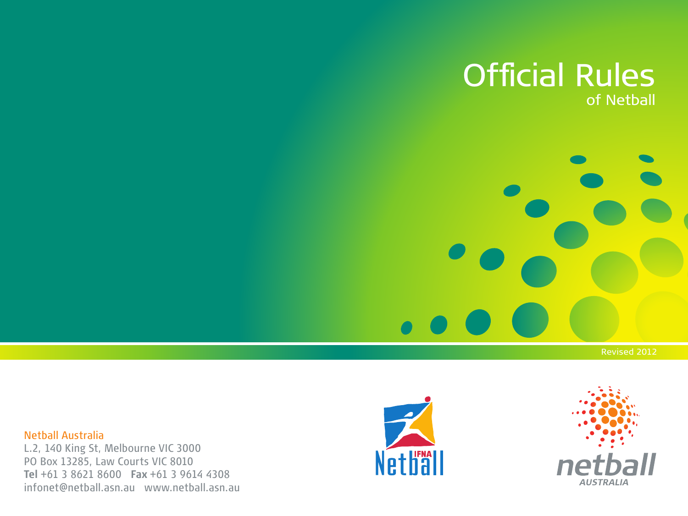### Official Rules of Netball

Netball Australia L.2, 140 King St, Melbourne VIC 3000 PO Box 13285, Law Courts VIC 8010 **Tel** +61 3 8621 8600 **Fax** +61 3 9614 4308 infonet@netball.asn.au www.netball.asn.au



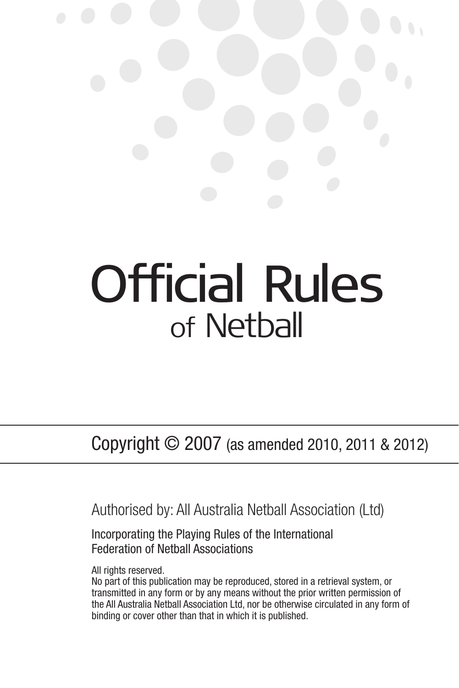# Official Rules of Netball

Copyright © 2007 (as amended 2010, 2011 & 2012)

Authorised by: All Australia Netball Association (Ltd)

Incorporating the Playing Rules of the International Federation of Netball Associations

All rights reserved.

No part of this publication may be reproduced, stored in a retrieval system, or transmitted in any form or by any means without the prior written permission of the All Australia Netball Association Ltd, nor be otherwise circulated in any form of binding or cover other than that in which it is published.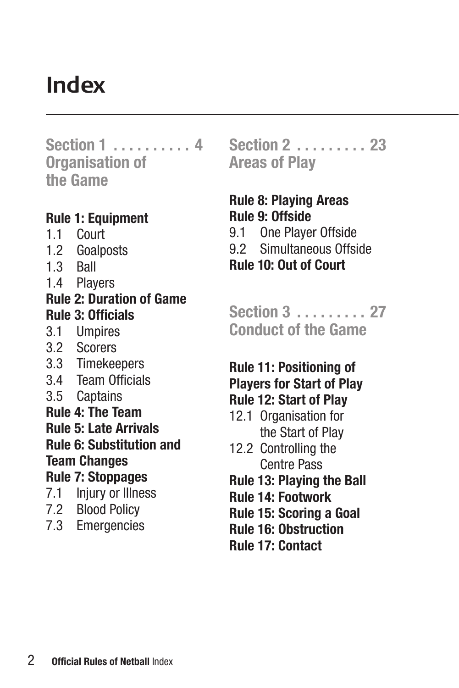### **Index**

**Section 1 . . . . . . . . . . 4 Organisation of the Game**

#### **Rule 1: Equipment**

- 1.1 Court
- 1.2 Goalposts
- 1.3 Ball
- 1.4 Players

#### **Rule 2: Duration of Game Rule 3: Officials**

- 3.1 Umpires
- 3.2 Scorers
- 3.3 Timekeepers
- 3.4 Team Officials
- 3.5 Captains
- **Rule 4: The Team**

**Rule 5: Late Arrivals**

**Rule 6: Substitution and Team Changes**

### **Rule 7: Stoppages**

- 7.1 Injury or Illness
- 7.2 Blood Policy
- 7.3 Emergencies

**Section 2 . . . . . . . . . 23 Areas of Play**

#### **Rule 8: Playing Areas Rule 9: Offside** 9.1 One Player Offside

- 9.2 Simultaneous Offside
- **Rule 10: Out of Court**

**Section 3 . . . . . . . . . 27 Conduct of the Game**

### **Rule 11: Positioning of Players for Start of Play**

- **Rule 12: Start of Play**
- 12.1 Organisation for the Start of Play
- 12.2 Controlling the Centre Pass
- **Rule 13: Playing the Ball**
- **Rule 14: Footwork**
- **Rule 15: Scoring a Goal**
- **Rule 16: Obstruction**
- **Rule 17: Contact**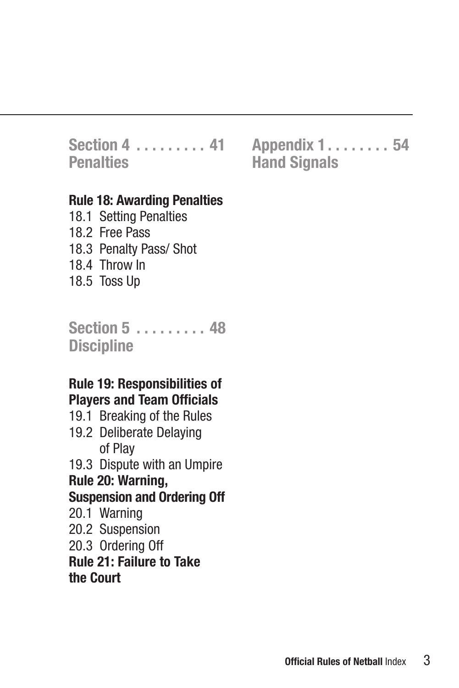### **Section 4 . . . . . . . . . 41 Penalties**

#### **Rule 18: Awarding Penalties**

18.1 Setting Penalties 18.2 Free Pass 18.3 Penalty Pass/ Shot 18.4 Throw In 18.5 Toss Up

**Section 5 . . . . . . . . . 48 Discipline**

#### **Rule 19: Responsibilities of Players and Team Officials**

19.1 Breaking of the Rules

19.2 Deliberate Delaying of Play

19.3 Dispute with an Umpire

### **Rule 20: Warning,**

#### **Suspension and Ordering Off**

- 20.1 Warning
- 20.2 Suspension
- 20.3 Ordering Off

**Rule 21: Failure to Take the Court**

**Appendix 1 . . . . . . . . 54 Hand Signals**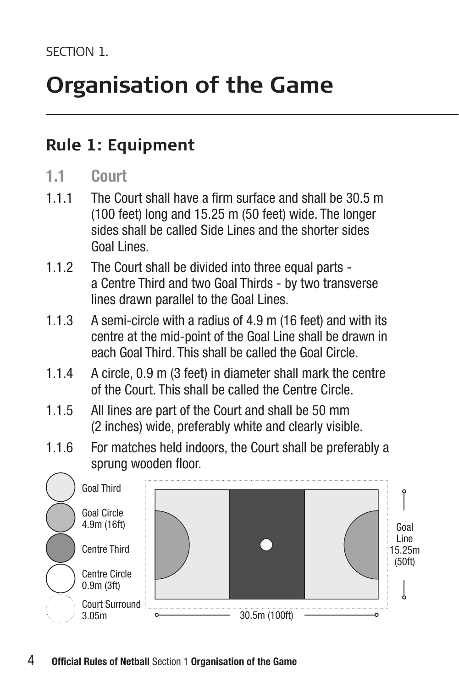### **Rule 1: Equipment**

#### **1.1 Court**

- 1.1.1 The Court shall have a firm surface and shall be 30.5 m (100 feet) long and 15.25 m (50 feet) wide. The longer sides shall be called Side Lines and the shorter sides Goal Lines.
- 1.1.2 The Court shall be divided into three equal parts a Centre Third and two Goal Thirds - by two transverse lines drawn parallel to the Goal Lines.
- 1.1.3 A semi-circle with a radius of 4.9 m (16 feet) and with its centre at the mid-point of the Goal Line shall be drawn in each Goal Third. This shall be called the Goal Circle.
- 1.1.4 A circle, 0.9 m (3 feet) in diameter shall mark the centre of the Court. This shall be called the Centre Circle.
- 1.1.5 All lines are part of the Court and shall be 50 mm (2 inches) wide, preferably white and clearly visible.
- 1.1.6 For matches held indoors, the Court shall be preferably a sprung wooden floor.

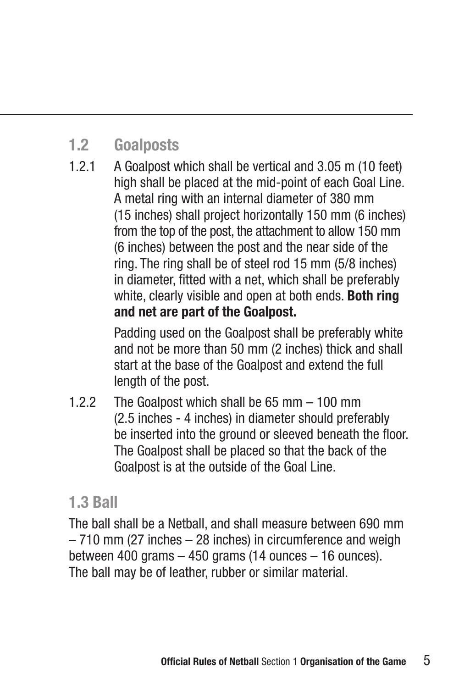### **1.2 Goalposts**

1.2.1 A Goalpost which shall be vertical and 3.05 m (10 feet) high shall be placed at the mid-point of each Goal Line. A metal ring with an internal diameter of 380 mm (15 inches) shall project horizontally 150 mm (6 inches) from the top of the post, the attachment to allow 150 mm (6 inches) between the post and the near side of the ring. The ring shall be of steel rod 15 mm (5/8 inches) in diameter, fitted with a net, which shall be preferably white, clearly visible and open at both ends. **Both ring and net are part of the Goalpost.**

> Padding used on the Goalpost shall be preferably white and not be more than 50 mm (2 inches) thick and shall start at the base of the Goalpost and extend the full length of the post.

1.2.2 The Goalpost which shall be 65 mm – 100 mm (2.5 inches - 4 inches) in diameter should preferably be inserted into the ground or sleeved beneath the floor. The Goalpost shall be placed so that the back of the Goalpost is at the outside of the Goal Line.

### **1.3 Ball**

The ball shall be a Netball, and shall measure between 690 mm – 710 mm (27 inches – 28 inches) in circumference and weigh between 400 grams  $-$  450 grams (14 ounces  $-$  16 ounces). The ball may be of leather, rubber or similar material.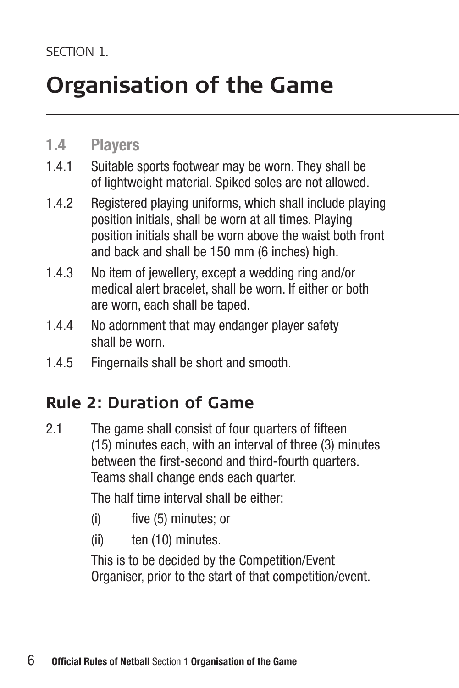### **1.4 Players**

- 1.4.1 Suitable sports footwear may be worn. They shall be of lightweight material. Spiked soles are not allowed.
- 1.4.2 Registered playing uniforms, which shall include playing position initials, shall be worn at all times. Playing position initials shall be worn above the waist both front and back and shall be 150 mm (6 inches) high.
- 1.4.3 No item of jewellery, except a wedding ring and/or medical alert bracelet, shall be worn. If either or both are worn, each shall be taped.
- 1.4.4 No adornment that may endanger player safety shall be worn.
- 1.4.5 Fingernails shall be short and smooth.

### **Rule 2: Duration of Game**

2.1 The game shall consist of four quarters of fifteen (15) minutes each, with an interval of three (3) minutes between the first-second and third-fourth quarters. Teams shall change ends each quarter.

The half time interval shall be either:

- (i) five (5) minutes; or
- (ii) ten (10) minutes.

 This is to be decided by the Competition/Event Organiser, prior to the start of that competition/event.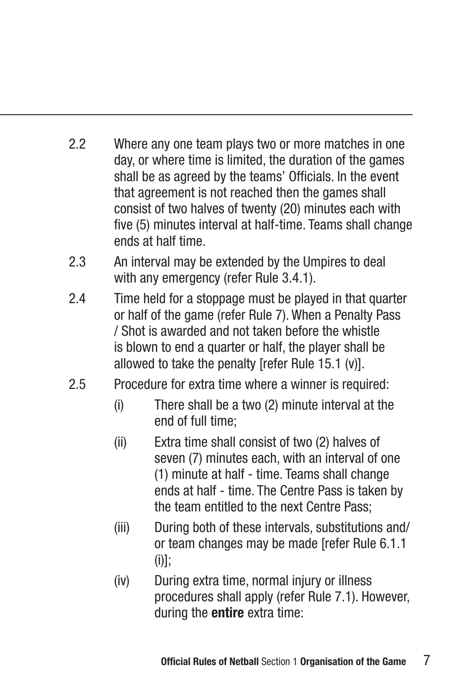- 2.2 Where any one team plays two or more matches in one day, or where time is limited, the duration of the games shall be as agreed by the teams' Officials. In the event that agreement is not reached then the games shall consist of two halves of twenty (20) minutes each with five (5) minutes interval at half-time. Teams shall change ends at half time.
- 2.3 An interval may be extended by the Umpires to deal with any emergency (refer Rule 3.4.1).
- 2.4 Time held for a stoppage must be played in that quarter or half of the game (refer Rule 7). When a Penalty Pass / Shot is awarded and not taken before the whistle is blown to end a quarter or half, the player shall be allowed to take the penalty [refer Rule 15.1 (v)].
- 2.5 Procedure for extra time where a winner is required:
	- (i) There shall be a two (2) minute interval at the end of full time;
	- (ii) Extra time shall consist of two (2) halves of seven (7) minutes each, with an interval of one (1) minute at half - time. Teams shall change ends at half - time. The Centre Pass is taken by the team entitled to the next Centre Pass;
	- (iii) During both of these intervals, substitutions and/ or team changes may be made [refer Rule 6.1.1  $(ii)!$
	- (iv) During extra time, normal injury or illness procedures shall apply (refer Rule 7.1). However, during the **entire** extra time: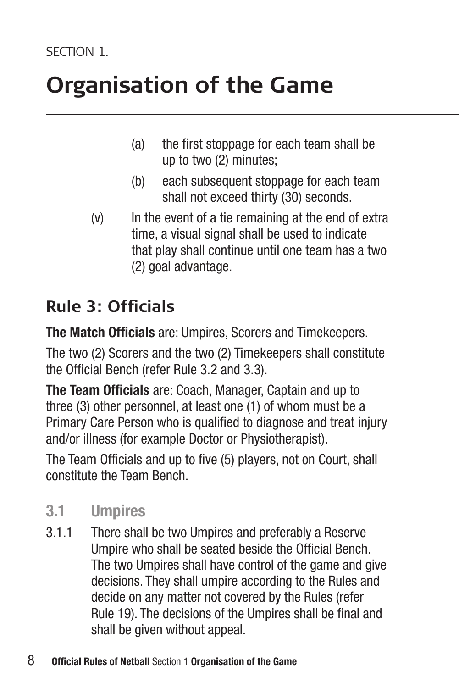- (a) the first stoppage for each team shall be up to two (2) minutes;
- (b) each subsequent stoppage for each team shall not exceed thirty (30) seconds.
- (v) In the event of a tie remaining at the end of extra time, a visual signal shall be used to indicate that play shall continue until one team has a two (2) goal advantage.

### **Rule 3: Officials**

**The Match Officials** are: Umpires, Scorers and Timekeepers.

The two (2) Scorers and the two (2) Timekeepers shall constitute the Official Bench (refer Rule 3.2 and 3.3).

**The Team Officials** are: Coach, Manager, Captain and up to three (3) other personnel, at least one (1) of whom must be a Primary Care Person who is qualified to diagnose and treat injury and/or illness (for example Doctor or Physiotherapist).

The Team Officials and up to five (5) players, not on Court, shall constitute the Team Bench.

### **3.1 Umpires**

3.1.1 There shall be two Umpires and preferably a Reserve Umpire who shall be seated beside the Official Bench. The two Umpires shall have control of the game and give decisions. They shall umpire according to the Rules and decide on any matter not covered by the Rules (refer Rule 19). The decisions of the Umpires shall be final and shall be given without appeal.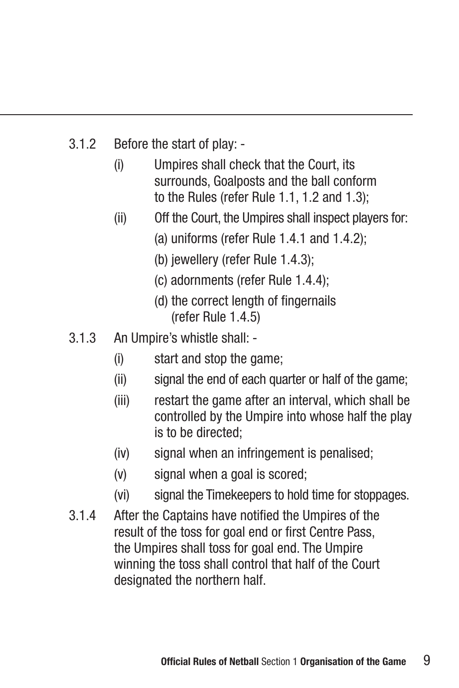- 3.1.2 Before the start of play:
	- (i) Umpires shall check that the Court, its surrounds, Goalposts and the ball conform to the Rules (refer Rule 1.1, 1.2 and 1.3);
	- (ii) Off the Court, the Umpires shall inspect players for:
		- (a) uniforms (refer Rule 1.4.1 and 1.4.2);
		- (b) jewellery (refer Rule 1.4.3);
		- (c) adornments (refer Rule 1.4.4);
		- (d) the correct length of fingernails (refer Rule 1.4.5)
- 3.1.3 An Umpire's whistle shall:
	- (i) start and stop the game;
	- (ii) signal the end of each quarter or half of the game;
	- (iii) restart the game after an interval, which shall be controlled by the Umpire into whose half the play is to be directed;
	- (iv) signal when an infringement is penalised;
	- (v) signal when a goal is scored;
	- (vi) signal the Timekeepers to hold time for stoppages.
- 3.1.4 After the Captains have notified the Umpires of the result of the toss for goal end or first Centre Pass, the Umpires shall toss for goal end. The Umpire winning the toss shall control that half of the Court designated the northern half.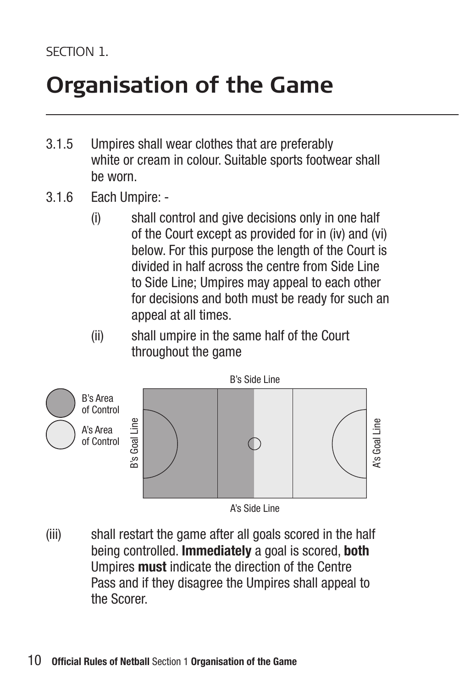- 3.1.5 Umpires shall wear clothes that are preferably white or cream in colour. Suitable sports footwear shall be worn.
- 3.1.6 Each Umpire:
	- (i) shall control and give decisions only in one half of the Court except as provided for in (iv) and (vi) below. For this purpose the length of the Court is divided in half across the centre from Side Line to Side Line; Umpires may appeal to each other for decisions and both must be ready for such an appeal at all times.
	- (ii) shall umpire in the same half of the Court throughout the game



(iii) shall restart the game after all goals scored in the half being controlled. **Immediately** a goal is scored, **both** Umpires **must** indicate the direction of the Centre Pass and if they disagree the Umpires shall appeal to the Scorer.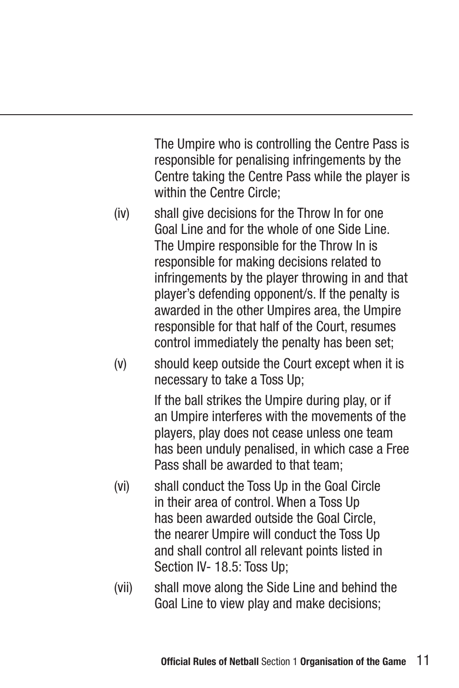The Umpire who is controlling the Centre Pass is responsible for penalising infringements by the Centre taking the Centre Pass while the player is within the Centre Circle;

- (iv) shall give decisions for the Throw In for one Goal Line and for the whole of one Side Line. The Umpire responsible for the Throw In is responsible for making decisions related to infringements by the player throwing in and that player's defending opponent/s. If the penalty is awarded in the other Umpires area, the Umpire responsible for that half of the Court, resumes control immediately the penalty has been set;
- (v) should keep outside the Court except when it is necessary to take a Toss Up;

 If the ball strikes the Umpire during play, or if an Umpire interferes with the movements of the players, play does not cease unless one team has been unduly penalised, in which case a Free Pass shall be awarded to that team:

- (vi) shall conduct the Toss Up in the Goal Circle in their area of control. When a Toss Up has been awarded outside the Goal Circle, the nearer Umpire will conduct the Toss Up and shall control all relevant points listed in Section IV- 18.5: Toss Up;
- (vii) shall move along the Side Line and behind the Goal Line to view play and make decisions;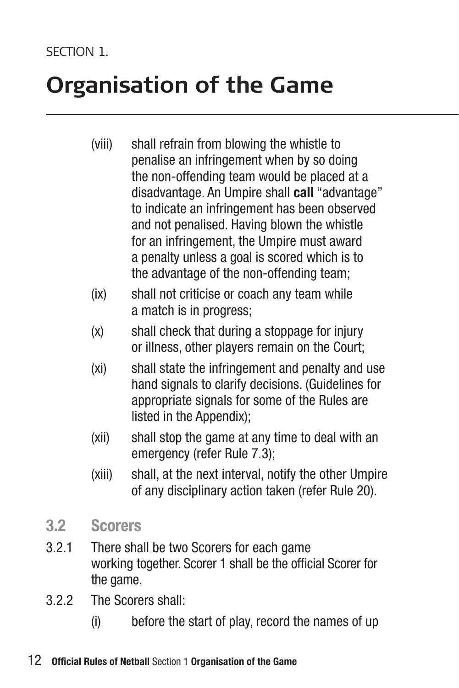- (viii) shall refrain from blowing the whistle to penalise an infringement when by so doing the non-offending team would be placed at a disadvantage. An Umpire shall **call** "advantage" to indicate an infringement has been observed and not penalised. Having blown the whistle for an infringement, the Umpire must award a penalty unless a goal is scored which is to the advantage of the non-offending team;
- (ix) shall not criticise or coach any team while a match is in progress;
- (x) shall check that during a stoppage for injury or illness, other players remain on the Court;
- (xi) shall state the infringement and penalty and use hand signals to clarify decisions. (Guidelines for appropriate signals for some of the Rules are listed in the Appendix);
- (xii) shall stop the game at any time to deal with an emergency (refer Rule 7.3);
- (xiii) shall, at the next interval, notify the other Umpire of any disciplinary action taken (refer Rule 20).
- **3.2 Scorers**
- 3.2.1 There shall be two Scorers for each game working together. Scorer 1 shall be the official Scorer for the game.
- 3.2.2 The Scorers shall:
	- (i) before the start of play, record the names of up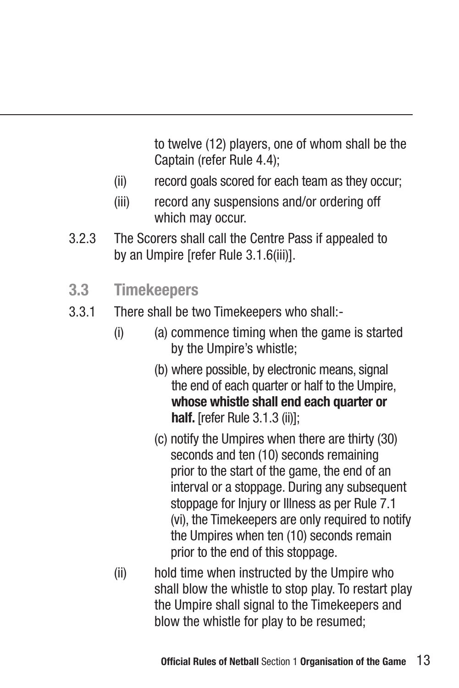to twelve (12) players, one of whom shall be the Captain (refer Rule 4.4);

- (ii) record goals scored for each team as they occur;
- (iii) record any suspensions and/or ordering off which may occur.
- 3.2.3 The Scorers shall call the Centre Pass if appealed to by an Umpire [refer Rule 3.1.6(iii)].
- **3.3 Timekeepers**
- 3.3.1 There shall be two Timekeepers who shall:-
	- $(i)$  (a) commence timing when the game is started by the Umpire's whistle;
		- (b) where possible, by electronic means, signal the end of each quarter or half to the Umpire, **whose whistle shall end each quarter or half.** [refer Rule 3.1.3 (ii)];
		- (c) notify the Umpires when there are thirty (30) seconds and ten (10) seconds remaining prior to the start of the game, the end of an interval or a stoppage. During any subsequent stoppage for Injury or Illness as per Rule 7.1 (vi), the Timekeepers are only required to notify the Umpires when ten (10) seconds remain prior to the end of this stoppage.
	- (ii) hold time when instructed by the Umpire who shall blow the whistle to stop play. To restart play the Umpire shall signal to the Timekeepers and blow the whistle for play to be resumed;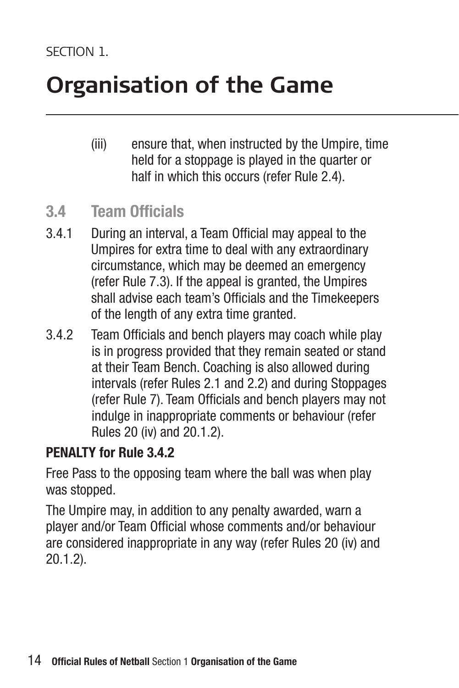(iii) ensure that, when instructed by the Umpire, time held for a stoppage is played in the quarter or half in which this occurs (refer Rule 2.4).

#### **3.4 Team Officials**

- 3.4.1 During an interval, a Team Official may appeal to the Umpires for extra time to deal with any extraordinary circumstance, which may be deemed an emergency (refer Rule 7.3). If the appeal is granted, the Umpires shall advise each team's Officials and the Timekeepers of the length of any extra time granted.
- 3.4.2 Team Officials and bench players may coach while play is in progress provided that they remain seated or stand at their Team Bench. Coaching is also allowed during intervals (refer Rules 2.1 and 2.2) and during Stoppages (refer Rule 7). Team Officials and bench players may not indulge in inappropriate comments or behaviour (refer Rules 20 (iv) and 20.1.2).

#### **PENALTY for Rule 3.4.2**

Free Pass to the opposing team where the ball was when play was stopped.

The Umpire may, in addition to any penalty awarded, warn a player and/or Team Official whose comments and/or behaviour are considered inappropriate in any way (refer Rules 20 (iv) and 20.1.2).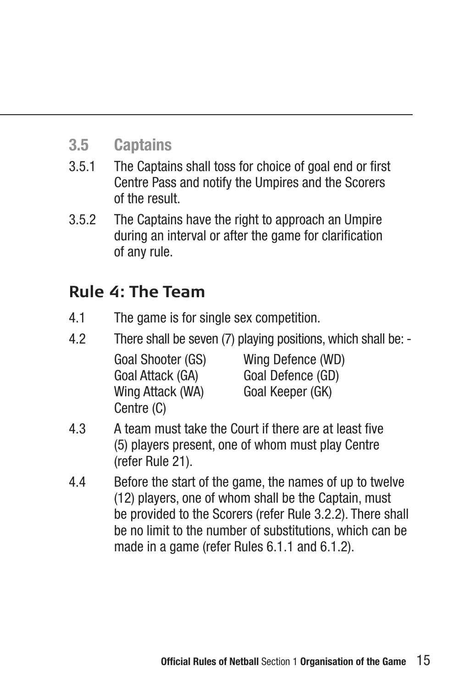### **3.5 Captains**

- 3.5.1 The Captains shall toss for choice of goal end or first Centre Pass and notify the Umpires and the Scorers of the result.
- 3.5.2 The Captains have the right to approach an Umpire during an interval or after the game for clarification of any rule.

### **Rule 4: The Team**

- 4.1 The game is for single sex competition.
- 4.2 There shall be seven (7) playing positions, which shall be: -

| Goal Shooter (GS) | Wing Defence (WD) |
|-------------------|-------------------|
| Goal Attack (GA)  | Goal Defence (GD) |
| Wing Attack (WA)  | Goal Keeper (GK)  |
| Centre (C)        |                   |

- 4.3 A team must take the Court if there are at least five (5) players present, one of whom must play Centre (refer Rule 21).
- 4.4 Before the start of the game, the names of up to twelve (12) players, one of whom shall be the Captain, must be provided to the Scorers (refer Rule 3.2.2). There shall be no limit to the number of substitutions, which can be made in a game (refer Rules 6.1.1 and 6.1.2).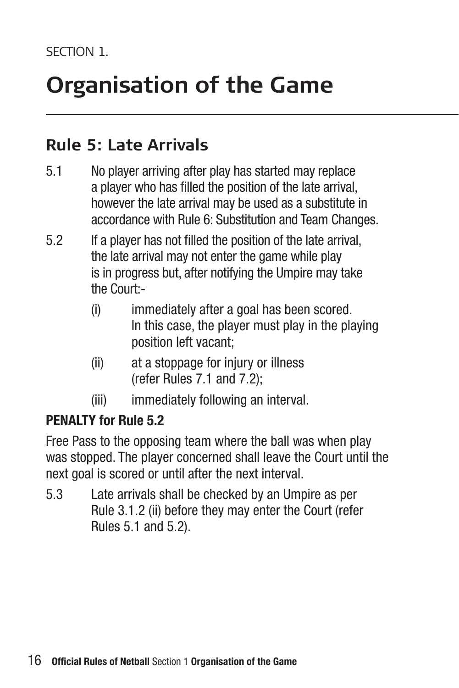### **Rule 5: Late Arrivals**

- 5.1 No player arriving after play has started may replace a player who has filled the position of the late arrival, however the late arrival may be used as a substitute in accordance with Rule 6: Substitution and Team Changes.
- 5.2 If a player has not filled the position of the late arrival, the late arrival may not enter the game while play is in progress but, after notifying the Umpire may take the Court:-
	- (i) immediately after a goal has been scored. In this case, the player must play in the playing position left vacant;
	- (ii) at a stoppage for injury or illness (refer Rules 7.1 and 7.2);
	- (iii) immediately following an interval.

#### **PENALTY for Rule 5.2**

Free Pass to the opposing team where the ball was when play was stopped. The player concerned shall leave the Court until the next goal is scored or until after the next interval.

5.3 Late arrivals shall be checked by an Umpire as per Rule 3.1.2 (ii) before they may enter the Court (refer Rules 5.1 and 5.2).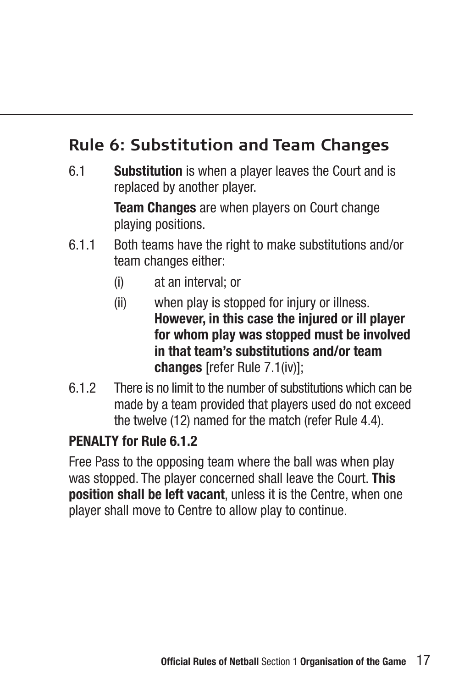### **Rule 6: Substitution and Team Changes**

6.1 **Substitution** is when a player leaves the Court and is replaced by another player.

> **Team Changes** are when players on Court change playing positions.

- 6.1.1 Both teams have the right to make substitutions and/or team changes either:
	- (i) at an interval; or
	- (ii) when play is stopped for injury or illness. **However, in this case the injured or ill player for whom play was stopped must be involved in that team's substitutions and/or team changes** [refer Rule 7.1(iv)];
- 6.1.2 There is no limit to the number of substitutions which can be made by a team provided that players used do not exceed the twelve (12) named for the match (refer Rule 4.4).

#### **PENALTY for Rule 6.1.2**

Free Pass to the opposing team where the ball was when play was stopped. The player concerned shall leave the Court. **This position shall be left vacant**, unless it is the Centre, when one player shall move to Centre to allow play to continue.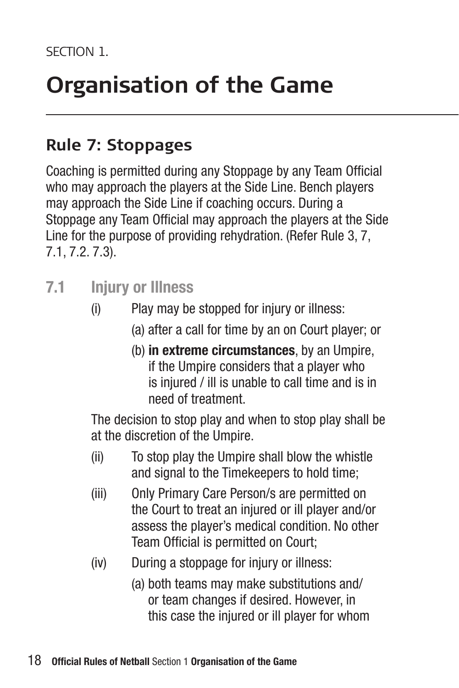### **Rule 7: Stoppages**

Coaching is permitted during any Stoppage by any Team Official who may approach the players at the Side Line. Bench players may approach the Side Line if coaching occurs. During a Stoppage any Team Official may approach the players at the Side Line for the purpose of providing rehydration. (Refer Rule 3, 7, 7.1, 7.2. 7.3).

- **7.1 Injury or Illness**
	- (i) Play may be stopped for injury or illness:
		- (a) after a call for time by an on Court player; or
		- (b) **in extreme circumstances**, by an Umpire, if the Umpire considers that a player who is injured / ill is unable to call time and is in need of treatment.

 The decision to stop play and when to stop play shall be at the discretion of the Umpire.

- (ii) To stop play the Umpire shall blow the whistle and signal to the Timekeepers to hold time:
- (iii) Only Primary Care Person/s are permitted on the Court to treat an injured or ill player and/or assess the player's medical condition. No other Team Official is permitted on Court;
- (iv) During a stoppage for injury or illness:
	- (a) both teams may make substitutions and/ or team changes if desired. However, in this case the injured or ill player for whom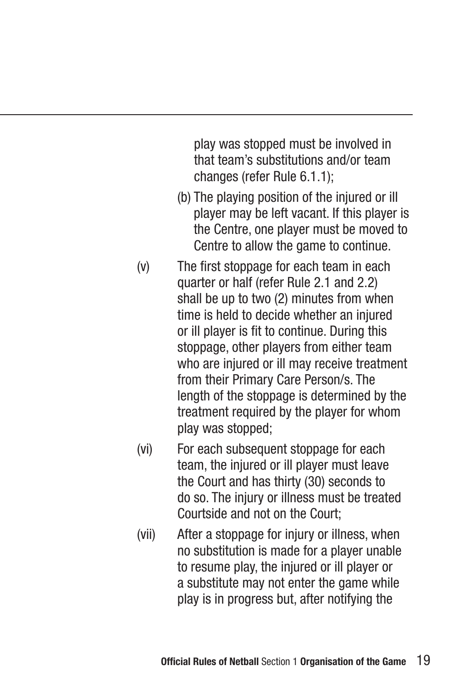play was stopped must be involved in that team's substitutions and/or team changes (refer Rule 6.1.1);

- (b) The playing position of the injured or ill player may be left vacant. If this player is the Centre, one player must be moved to Centre to allow the game to continue.
- (v) The first stoppage for each team in each quarter or half (refer Rule 2.1 and 2.2) shall be up to two (2) minutes from when time is held to decide whether an injured or ill player is fit to continue. During this stoppage, other players from either team who are injured or ill may receive treatment from their Primary Care Person/s. The length of the stoppage is determined by the treatment required by the player for whom play was stopped;
- (vi) For each subsequent stoppage for each team, the injured or ill player must leave the Court and has thirty (30) seconds to do so. The injury or illness must be treated Courtside and not on the Court;
- (vii) After a stoppage for injury or illness, when no substitution is made for a player unable to resume play, the injured or ill player or a substitute may not enter the game while play is in progress but, after notifying the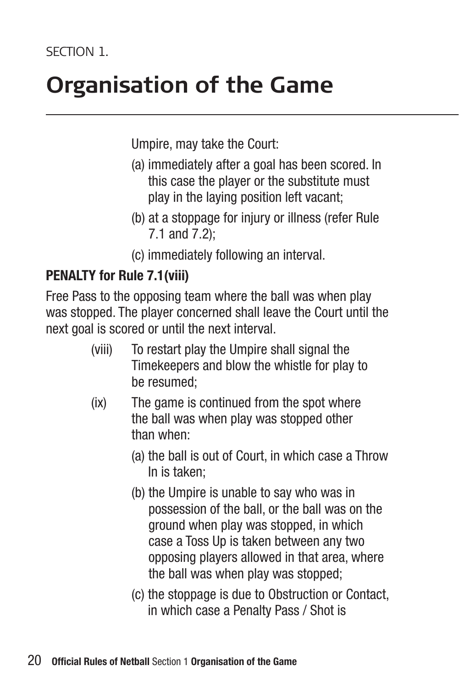Umpire, may take the Court:

- (a) immediately after a goal has been scored. In this case the player or the substitute must play in the laying position left vacant;
- (b) at a stoppage for injury or illness (refer Rule 7.1 and 7.2);
- (c) immediately following an interval.

#### **PENALTY for Rule 7.1(viii)**

Free Pass to the opposing team where the ball was when play was stopped. The player concerned shall leave the Court until the next goal is scored or until the next interval.

- (viii) To restart play the Umpire shall signal the Timekeepers and blow the whistle for play to be resumed;
- (ix) The game is continued from the spot where the ball was when play was stopped other than when:
	- (a) the ball is out of Court, in which case a Throw In is taken;
	- (b) the Umpire is unable to say who was in possession of the ball, or the ball was on the ground when play was stopped, in which case a Toss Up is taken between any two opposing players allowed in that area, where the ball was when play was stopped;
	- (c) the stoppage is due to Obstruction or Contact, in which case a Penalty Pass / Shot is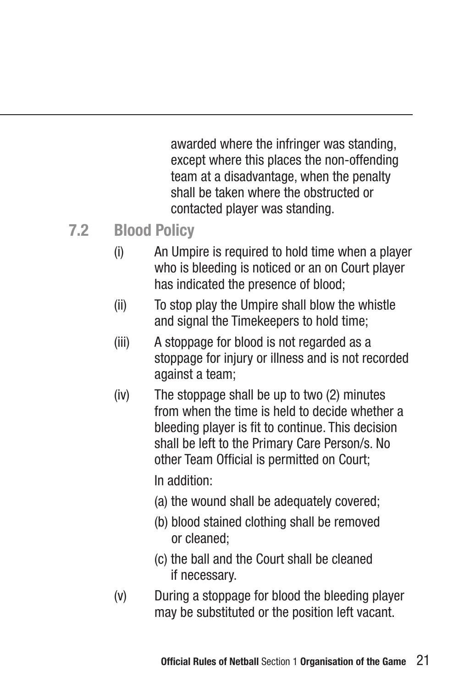awarded where the infringer was standing, except where this places the non-offending team at a disadvantage, when the penalty shall be taken where the obstructed or contacted player was standing.

### **7.2 Blood Policy**

- (i) An Umpire is required to hold time when a player who is bleeding is noticed or an on Court player has indicated the presence of blood;
- (ii) To stop play the Umpire shall blow the whistle and signal the Timekeepers to hold time;
- (iii) A stoppage for blood is not regarded as a stoppage for injury or illness and is not recorded against a team;
- (iv) The stoppage shall be up to two (2) minutes from when the time is held to decide whether a bleeding player is fit to continue. This decision shall be left to the Primary Care Person/s. No other Team Official is permitted on Court;

In addition:

- (a) the wound shall be adequately covered;
- (b) blood stained clothing shall be removed or cleaned;
- (c) the ball and the Court shall be cleaned if necessary.
- (v) During a stoppage for blood the bleeding player may be substituted or the position left vacant.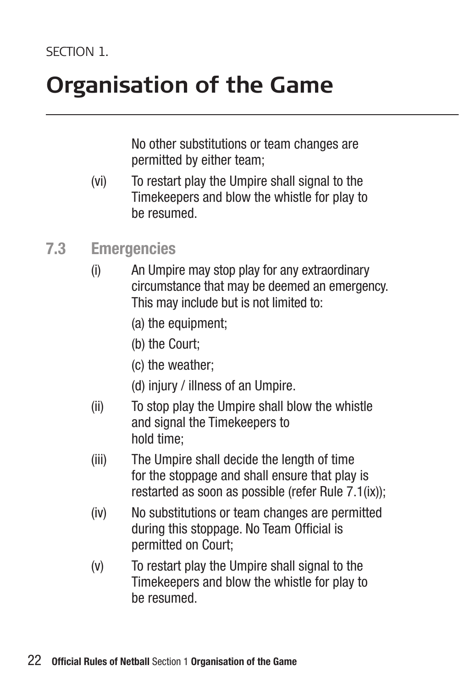No other substitutions or team changes are permitted by either team;

- (vi) To restart play the Umpire shall signal to the Timekeepers and blow the whistle for play to be resumed.
- **7.3 Emergencies**
	- (i) An Umpire may stop play for any extraordinary circumstance that may be deemed an emergency. This may include but is not limited to:
		- (a) the equipment;
		- (b) the Court;
		- (c) the weather;
		- (d) injury / illness of an Umpire.
	- (ii) To stop play the Umpire shall blow the whistle and signal the Timekeepers to hold time;
	- (iii) The Umpire shall decide the length of time for the stoppage and shall ensure that play is restarted as soon as possible (refer Rule 7.1(ix));
	- (iv) No substitutions or team changes are permitted during this stoppage. No Team Official is permitted on Court;
	- (v) To restart play the Umpire shall signal to the Timekeepers and blow the whistle for play to be resumed.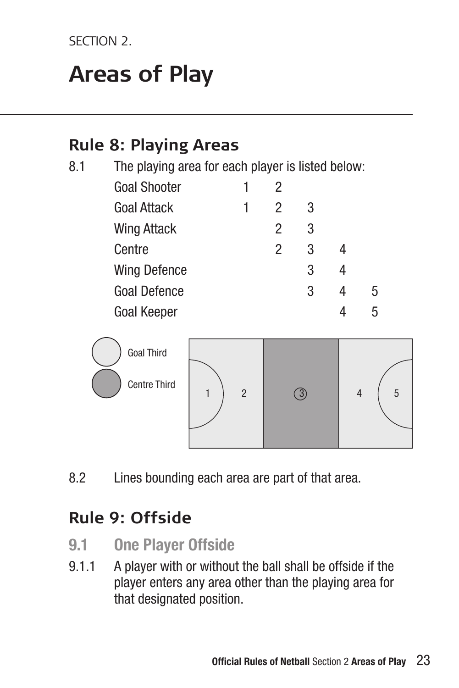SECTION<sub>2</sub>

### **Areas of Play**

### **Rule 8: Playing Areas**

8.1 The playing area for each player is listed below:

| <b>Goal Shooter</b> |   | 2 |   |   |
|---------------------|---|---|---|---|
| <b>Goal Attack</b>  | 1 | 2 | 3 |   |
| Wing Attack         |   | 2 | 3 |   |
| Centre              |   | 2 | 3 |   |
| <b>Wing Defence</b> |   |   | 3 |   |
| <b>Goal Defence</b> |   |   | 3 | 5 |
| <b>Goal Keeper</b>  |   |   |   | 5 |



8.2 Lines bounding each area are part of that area.

### **Rule 9: Offside**

- **9.1 One Player Offside**
- 9.1.1 A player with or without the ball shall be offside if the player enters any area other than the playing area for that designated position.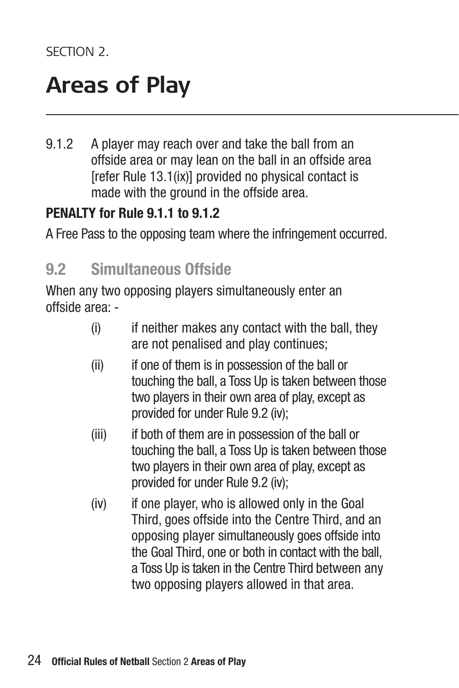### **Areas of Play**

9.1.2 A player may reach over and take the ball from an offside area or may lean on the ball in an offside area [refer Rule 13.1(ix)] provided no physical contact is made with the ground in the offside area.

#### **PENALTY for Rule 9.1.1 to 9.1.2**

A Free Pass to the opposing team where the infringement occurred.

### **9.2 Simultaneous Offside**

When any two opposing players simultaneously enter an offside area: -

- (i) if neither makes any contact with the ball, they are not penalised and play continues;
- (ii) if one of them is in possession of the ball or touching the ball, a Toss Up is taken between those two players in their own area of play, except as provided for under Rule 9.2 (iv);
- (iii) if both of them are in possession of the ball or touching the ball, a Toss Up is taken between those two players in their own area of play, except as provided for under Rule 9.2 (iv);
- (iv) if one player, who is allowed only in the Goal Third, goes offside into the Centre Third, and an opposing player simultaneously goes offside into the Goal Third, one or both in contact with the ball, a Toss Up is taken in the Centre Third between any two opposing players allowed in that area.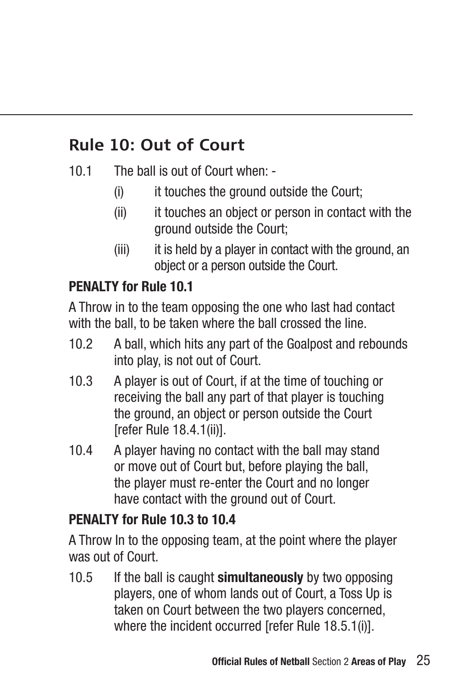### **Rule 10: Out of Court**

- 10.1 The ball is out of Court when:
	- (i) it touches the ground outside the Court;
	- (ii) it touches an object or person in contact with the ground outside the Court;
	- (iii) it is held by a player in contact with the ground, an object or a person outside the Court.

### **PENALTY for Rule 10.1**

A Throw in to the team opposing the one who last had contact with the ball, to be taken where the ball crossed the line.

- 10.2 A ball, which hits any part of the Goalpost and rebounds into play, is not out of Court.
- 10.3 A player is out of Court, if at the time of touching or receiving the ball any part of that player is touching the ground, an object or person outside the Court [refer Rule 18.4.1(ii)].
- 10.4 A player having no contact with the ball may stand or move out of Court but, before playing the ball, the player must re-enter the Court and no longer have contact with the ground out of Court.

#### **PENALTY for Rule 10.3 to 10.4**

A Throw In to the opposing team, at the point where the player was out of Court.

10.5 If the ball is caught **simultaneously** by two opposing players, one of whom lands out of Court, a Toss Up is taken on Court between the two players concerned, where the incident occurred [refer Rule 18.5.1(i)].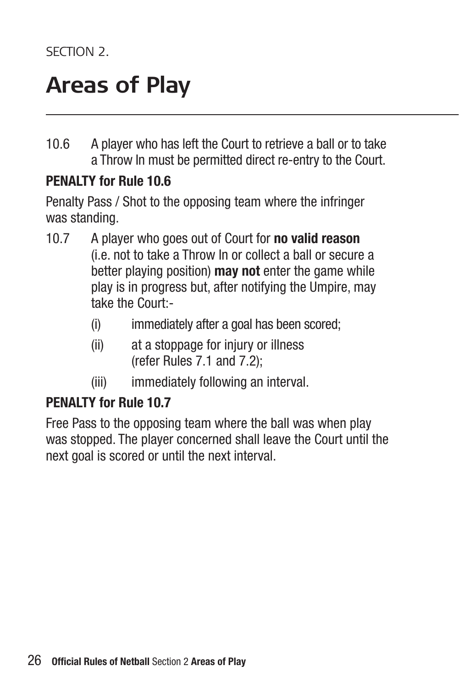### **Areas of Play**

10.6 A player who has left the Court to retrieve a ball or to take a Throw In must be permitted direct re-entry to the Court.

#### **PENALTY for Rule 10.6**

Penalty Pass / Shot to the opposing team where the infringer was standing.

- 10.7 A player who goes out of Court for **no valid reason** (i.e. not to take a Throw In or collect a ball or secure a better playing position) **may not** enter the game while play is in progress but, after notifying the Umpire, may take the Court:-
	- (i) immediately after a goal has been scored;
	- (ii) at a stoppage for injury or illness (refer Rules 7.1 and 7.2);
	- (iii) immediately following an interval.

#### **PENALTY for Rule 10.7**

Free Pass to the opposing team where the ball was when play was stopped. The player concerned shall leave the Court until the next goal is scored or until the next interval.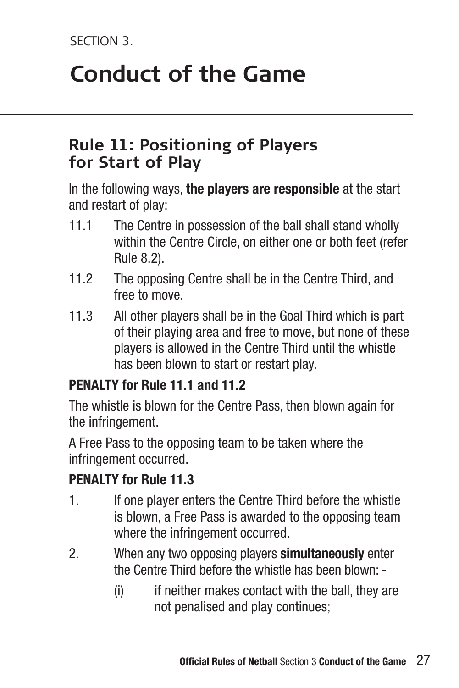### **Conduct of the Game**

### **Rule 11: Positioning of Players for Start of Play**

In the following ways, **the players are responsible** at the start and restart of play:

- 11.1 The Centre in possession of the ball shall stand wholly within the Centre Circle, on either one or both feet (refer Rule 8.2).
- 11.2 The opposing Centre shall be in the Centre Third, and free to move.
- 11.3 All other players shall be in the Goal Third which is part of their playing area and free to move, but none of these players is allowed in the Centre Third until the whistle has been blown to start or restart play.

#### **PENALTY for Rule 11.1 and 11.2**

The whistle is blown for the Centre Pass, then blown again for the infringement.

A Free Pass to the opposing team to be taken where the infringement occurred.

### **PENALTY for Rule 11.3**

- 1. If one player enters the Centre Third before the whistle is blown, a Free Pass is awarded to the opposing team where the infringement occurred.
- 2. When any two opposing players **simultaneously** enter the Centre Third before the whistle has been blown: -
	- (i) if neither makes contact with the ball, they are not penalised and play continues;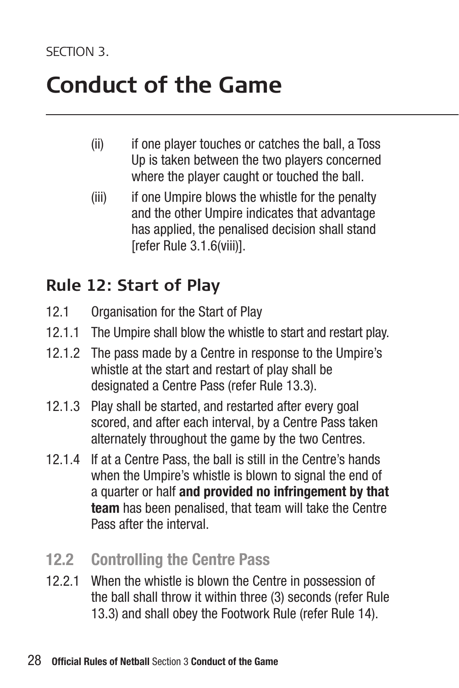### **Conduct of the Game**

- (ii) if one player touches or catches the ball, a Toss Up is taken between the two players concerned where the player caught or touched the ball.
- (iii) if one Umpire blows the whistle for the penalty and the other Umpire indicates that advantage has applied, the penalised decision shall stand [refer Rule 3.1.6(viii)].

### **Rule 12: Start of Play**

- 12.1 Organisation for the Start of Play
- 12.1.1 The Umpire shall blow the whistle to start and restart play.
- 12.1.2 The pass made by a Centre in response to the Umpire's whistle at the start and restart of play shall be designated a Centre Pass (refer Rule 13.3).
- 12.1.3 Play shall be started, and restarted after every goal scored, and after each interval, by a Centre Pass taken alternately throughout the game by the two Centres.
- 12.1.4 If at a Centre Pass, the ball is still in the Centre's hands when the Umpire's whistle is blown to signal the end of a quarter or half **and provided no infringement by that team** has been penalised, that team will take the Centre Pass after the interval.
- **12.2 Controlling the Centre Pass**
- 12.2.1 When the whistle is blown the Centre in possession of the ball shall throw it within three (3) seconds (refer Rule 13.3) and shall obey the Footwork Rule (refer Rule 14).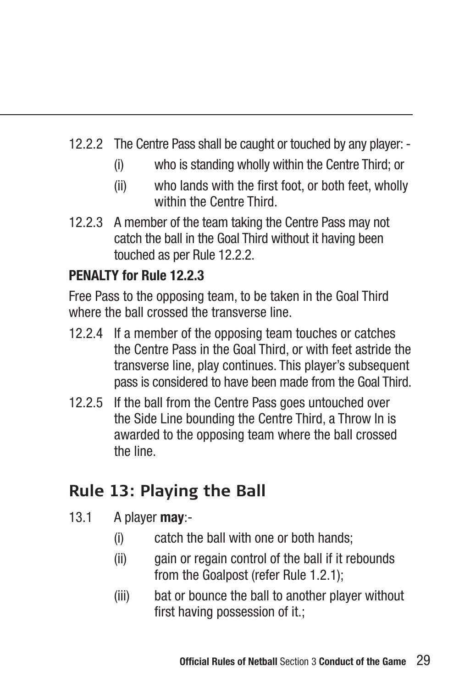- 12.2.2 The Centre Pass shall be caught or touched by any player:
	- (i) who is standing wholly within the Centre Third; or
	- (ii) who lands with the first foot, or both feet, wholly within the Centre Third.
- 12.2.3 A member of the team taking the Centre Pass may not catch the ball in the Goal Third without it having been touched as per Rule 12.2.2.

### **PENALTY for Rule 12.2.3**

Free Pass to the opposing team, to be taken in the Goal Third where the ball crossed the transverse line.

- 12.2.4 If a member of the opposing team touches or catches the Centre Pass in the Goal Third, or with feet astride the transverse line, play continues. This player's subsequent pass is considered to have been made from the Goal Third.
- 12.2.5 If the ball from the Centre Pass goes untouched over the Side Line bounding the Centre Third, a Throw In is awarded to the opposing team where the ball crossed the line.

### **Rule 13: Playing the Ball**

- 13.1 A player **may**:-
	- (i) catch the ball with one or both hands;
	- (ii) gain or regain control of the ball if it rebounds from the Goalpost (refer Rule 1.2.1);
	- (iii) bat or bounce the ball to another player without first having possession of it.: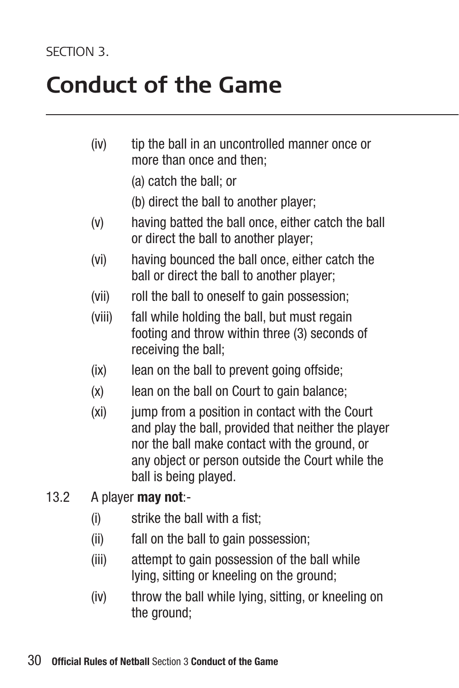### **Conduct of the Game**

- (iv) tip the ball in an uncontrolled manner once or more than once and then;
	- (a) catch the ball; or
	- (b) direct the ball to another player;
- (v) having batted the ball once, either catch the ball or direct the ball to another player;
- (vi) having bounced the ball once, either catch the ball or direct the ball to another player;
- (vii) roll the ball to oneself to gain possession;
- (viii) fall while holding the ball, but must regain footing and throw within three (3) seconds of receiving the ball;
- (ix) lean on the ball to prevent going offside;
- (x) lean on the ball on Court to gain balance;
- (xi) jump from a position in contact with the Court and play the ball, provided that neither the player nor the ball make contact with the ground, or any object or person outside the Court while the ball is being played.
- 13.2 A player **may not**:-
	- (i) strike the ball with a fist;
	- (ii) fall on the ball to gain possession;
	- (iii) attempt to gain possession of the ball while lying, sitting or kneeling on the ground;
	- (iv) throw the ball while lying, sitting, or kneeling on the ground: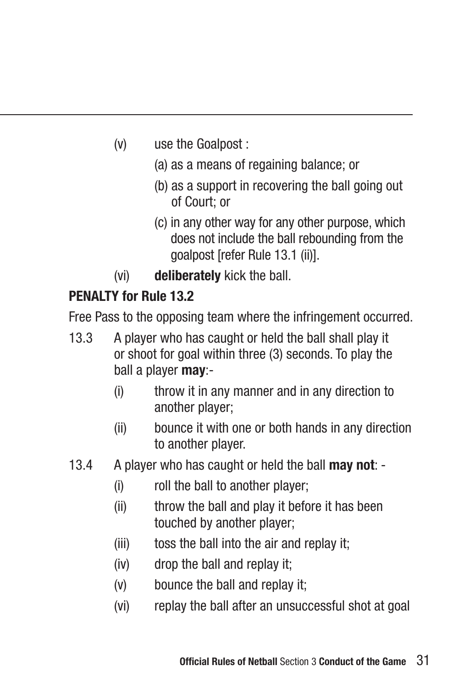- (v) use the Goalpost :
	- (a) as a means of regaining balance; or
	- (b) as a support in recovering the ball going out of Court; or
	- (c) in any other way for any other purpose, which does not include the ball rebounding from the goalpost [refer Rule 13.1 (ii)].
- (vi) **deliberately** kick the ball.

### **PENALTY for Rule 13.2**

Free Pass to the opposing team where the infringement occurred.

- 13.3 A player who has caught or held the ball shall play it or shoot for goal within three (3) seconds. To play the ball a player **may**:-
	- (i) throw it in any manner and in any direction to another player;
	- (ii) bounce it with one or both hands in any direction to another player.
- 13.4 A player who has caught or held the ball **may not**:
	- (i) roll the ball to another player;
	- (ii) throw the ball and play it before it has been touched by another player;
	- (iii) toss the ball into the air and replay it;
	- (iv) drop the ball and replay it;
	- (v) bounce the ball and replay it;
	- (vi) replay the ball after an unsuccessful shot at goal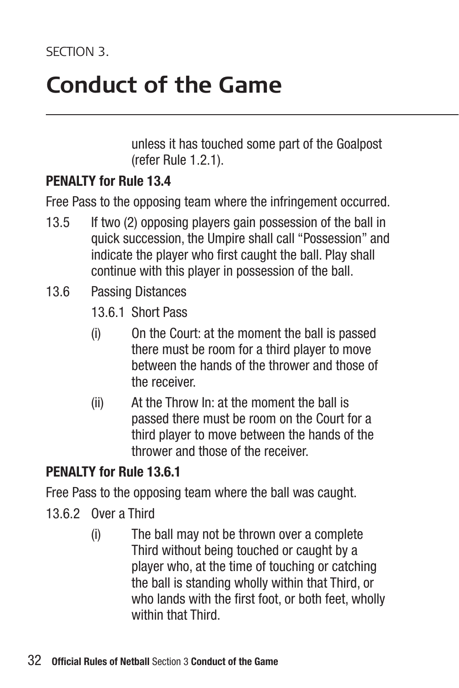### **Conduct of the Game**

unless it has touched some part of the Goalpost (refer Rule 1.2.1).

#### **PENALTY for Rule 13.4**

Free Pass to the opposing team where the infringement occurred.

- 13.5 If two (2) opposing players gain possession of the ball in quick succession, the Umpire shall call "Possession" and indicate the player who first caught the ball. Play shall continue with this player in possession of the ball.
- 13.6 Passing Distances
	- 13.6.1 Short Pass
	- (i) On the Court: at the moment the ball is passed there must be room for a third player to move between the hands of the thrower and those of the receiver.
	- (ii) At the Throw In: at the moment the ball is passed there must be room on the Court for a third player to move between the hands of the thrower and those of the receiver.

#### **PENALTY for Rule 13.6.1**

Free Pass to the opposing team where the ball was caught.

- 13.6.2 Over a Third
	- (i) The ball may not be thrown over a complete Third without being touched or caught by a player who, at the time of touching or catching the ball is standing wholly within that Third, or who lands with the first foot, or both feet, wholly within that Third.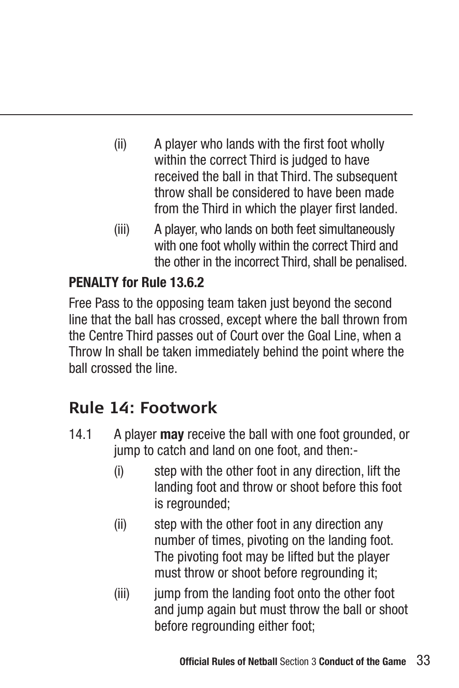- (ii) A player who lands with the first foot wholly within the correct Third is judged to have received the ball in that Third. The subsequent throw shall be considered to have been made from the Third in which the player first landed.
- (iii) A player, who lands on both feet simultaneously with one foot wholly within the correct Third and the other in the incorrect Third, shall be penalised.

### **PENALTY for Rule 13.6.2**

Free Pass to the opposing team taken just beyond the second line that the ball has crossed, except where the ball thrown from the Centre Third passes out of Court over the Goal Line, when a Throw In shall be taken immediately behind the point where the ball crossed the line.

### **Rule 14: Footwork**

- 14.1 A player **may** receive the ball with one foot grounded, or jump to catch and land on one foot, and then:-
	- (i) step with the other foot in any direction, lift the landing foot and throw or shoot before this foot is regrounded;
	- (ii) step with the other foot in any direction any number of times, pivoting on the landing foot. The pivoting foot may be lifted but the player must throw or shoot before regrounding it;
	- (iii) jump from the landing foot onto the other foot and jump again but must throw the ball or shoot before regrounding either foot;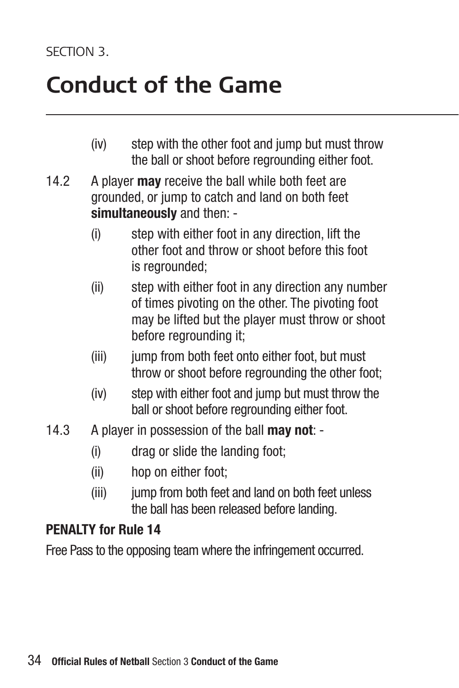### **Conduct of the Game**

- (iv) step with the other foot and jump but must throw the ball or shoot before regrounding either foot.
- 14.2 A player **may** receive the ball while both feet are grounded, or jump to catch and land on both feet **simultaneously** and then: -
	- (i) step with either foot in any direction, lift the other foot and throw or shoot before this foot is regrounded;
	- (ii) step with either foot in any direction any number of times pivoting on the other. The pivoting foot may be lifted but the player must throw or shoot before regrounding it;
	- (iii) jump from both feet onto either foot, but must throw or shoot before regrounding the other foot;
	- (iv) step with either foot and jump but must throw the ball or shoot before regrounding either foot.
- 14.3 A player in possession of the ball **may not**:
	- (i) drag or slide the landing foot;
	- (ii) hop on either foot;
	- (iii) jump from both feet and land on both feet unless the ball has been released before landing.

#### **PENALTY for Rule 14**

Free Pass to the opposing team where the infringement occurred.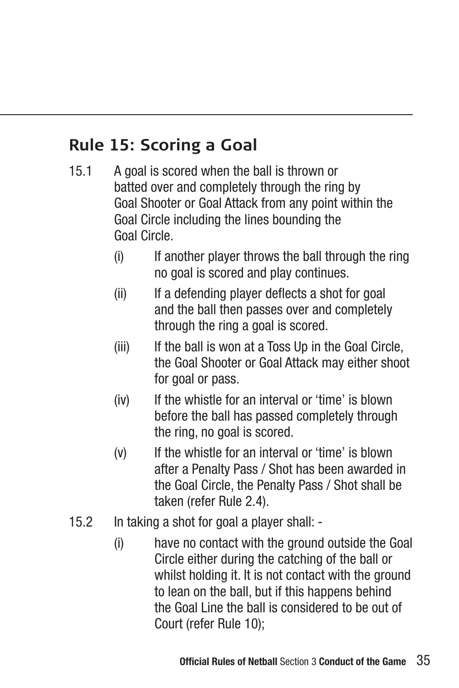### **Rule 15: Scoring a Goal**

- 15.1 A goal is scored when the ball is thrown or batted over and completely through the ring by Goal Shooter or Goal Attack from any point within the Goal Circle including the lines bounding the Goal Circle.
	- (i) If another player throws the ball through the ring no goal is scored and play continues.
	- (ii) If a defending player deflects a shot for goal and the ball then passes over and completely through the ring a goal is scored.
	- (iii) If the ball is won at a Toss Up in the Goal Circle, the Goal Shooter or Goal Attack may either shoot for goal or pass.
	- (iv) If the whistle for an interval or 'time' is blown before the ball has passed completely through the ring, no goal is scored.
	- (v) If the whistle for an interval or 'time' is blown after a Penalty Pass / Shot has been awarded in the Goal Circle, the Penalty Pass / Shot shall be taken (refer Rule 2.4).
- 15.2 In taking a shot for goal a player shall:
	- (i) have no contact with the ground outside the Goal Circle either during the catching of the ball or whilst holding it. It is not contact with the ground to lean on the ball, but if this happens behind the Goal Line the ball is considered to be out of Court (refer Rule 10);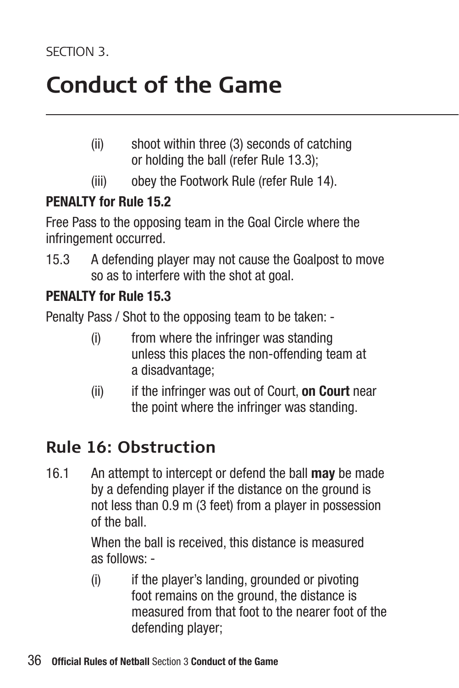### **Conduct of the Game**

- (ii) shoot within three (3) seconds of catching or holding the ball (refer Rule 13.3);
- (iii) obey the Footwork Rule (refer Rule 14).

### **PENALTY for Rule 15.2**

Free Pass to the opposing team in the Goal Circle where the infringement occurred.

15.3 A defending player may not cause the Goalpost to move so as to interfere with the shot at goal.

### **PENALTY for Rule 15.3**

Penalty Pass / Shot to the opposing team to be taken: -

- (i) from where the infringer was standing unless this places the non-offending team at a disadvantage;
- (ii) if the infringer was out of Court, **on Court** near the point where the infringer was standing.

### **Rule 16: Obstruction**

16.1 An attempt to intercept or defend the ball **may** be made by a defending player if the distance on the ground is not less than 0.9 m (3 feet) from a player in possession of the ball.

> When the ball is received, this distance is measured as follows: -

(i) if the player's landing, grounded or pivoting foot remains on the ground, the distance is measured from that foot to the nearer foot of the defending player;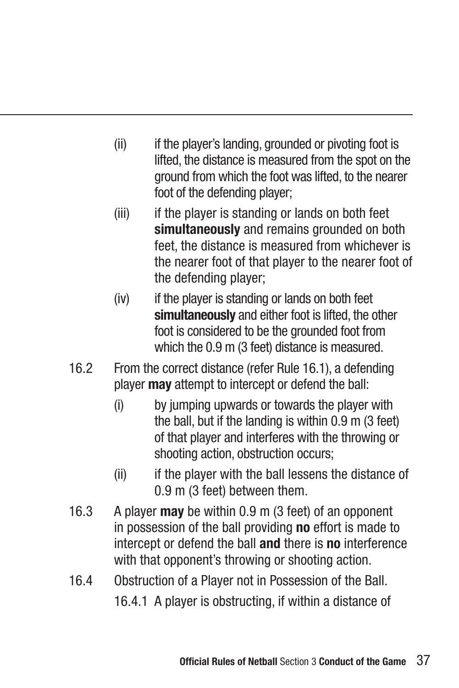- (ii) if the player's landing, grounded or pivoting foot is lifted, the distance is measured from the spot on the ground from which the foot was lifted, to the nearer foot of the defending player:
- (iii) if the player is standing or lands on both feet **simultaneously** and remains grounded on both feet, the distance is measured from whichever is the nearer foot of that player to the nearer foot of the defending player;
- (iv) if the player is standing or lands on both feet **simultaneously** and either foot is lifted, the other foot is considered to be the grounded foot from which the 0.9 m (3 feet) distance is measured.
- 16.2 From the correct distance (refer Rule 16.1), a defending player **may** attempt to intercept or defend the ball:
	- (i) by jumping upwards or towards the player with the ball, but if the landing is within 0.9 m (3 feet) of that player and interferes with the throwing or shooting action, obstruction occurs;
	- (ii) if the player with the ball lessens the distance of 0.9 m (3 feet) between them.
- 16.3 A player **may** be within 0.9 m (3 feet) of an opponent in possession of the ball providing **no** effort is made to intercept or defend the ball **and** there is **no** interference with that opponent's throwing or shooting action.
- 16.4 Obstruction of a Player not in Possession of the Ball.

16.4.1 A player is obstructing, if within a distance of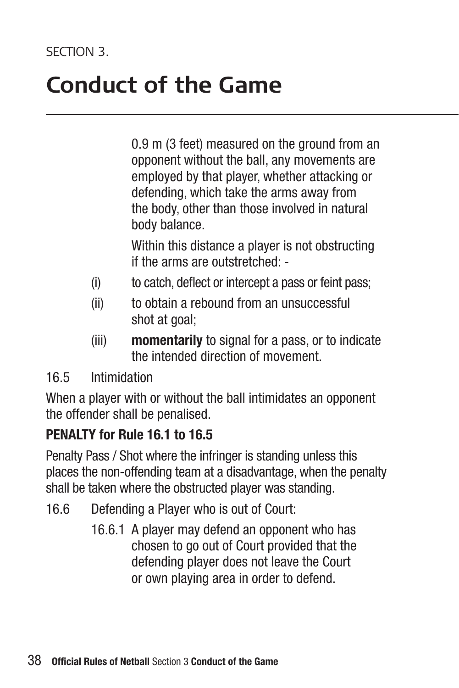### **Conduct of the Game**

0.9 m (3 feet) measured on the ground from an opponent without the ball, any movements are employed by that player, whether attacking or defending, which take the arms away from the body, other than those involved in natural body balance.

 Within this distance a player is not obstructing if the arms are outstretched: -

- (i) to catch, deflect or intercept a pass or feint pass;
- (ii) to obtain a rebound from an unsuccessful shot at goal:
- (iii) **momentarily** to signal for a pass, or to indicate the intended direction of movement.

#### 16.5 Intimidation

When a player with or without the ball intimidates an opponent the offender shall be penalised.

#### **PENALTY for Rule 16.1 to 16.5**

Penalty Pass / Shot where the infringer is standing unless this places the non-offending team at a disadvantage, when the penalty shall be taken where the obstructed player was standing.

- 16.6 Defending a Player who is out of Court:
	- 16.6.1 A player may defend an opponent who has chosen to go out of Court provided that the defending player does not leave the Court or own playing area in order to defend.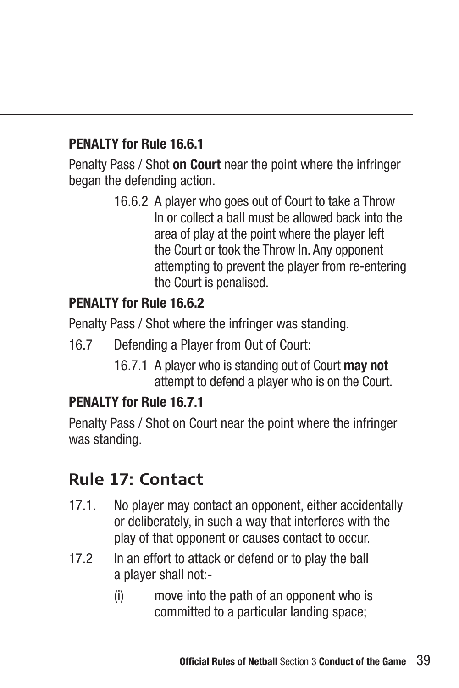### **PENALTY for Rule 16.6.1**

Penalty Pass / Shot **on Court** near the point where the infringer began the defending action.

> 16.6.2 A player who goes out of Court to take a Throw In or collect a ball must be allowed back into the area of play at the point where the player left the Court or took the Throw In. Any opponent attempting to prevent the player from re-entering the Court is penalised.

### **PENALTY for Rule 16.6.2**

Penalty Pass / Shot where the infringer was standing.

- 16.7 Defending a Player from Out of Court:
	- 16.7.1 A player who is standing out of Court **may not** attempt to defend a player who is on the Court.

#### **PENALTY for Rule 16.7.1**

Penalty Pass / Shot on Court near the point where the infringer was standing.

### **Rule 17: Contact**

- 17.1. No player may contact an opponent, either accidentally or deliberately, in such a way that interferes with the play of that opponent or causes contact to occur.
- 17.2 In an effort to attack or defend or to play the ball a player shall not:-
	- (i) move into the path of an opponent who is committed to a particular landing space;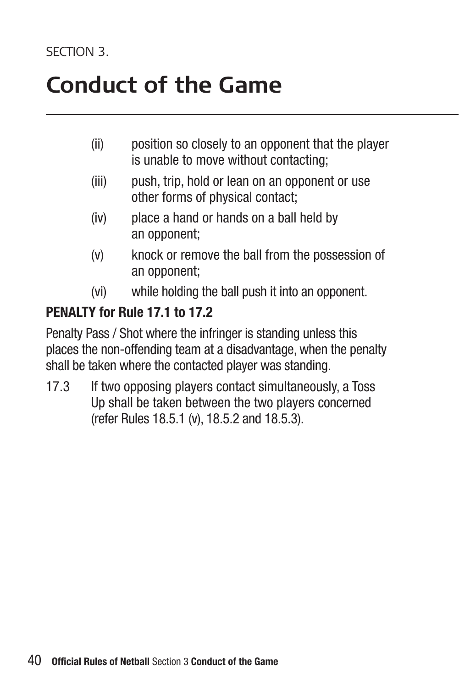### **Conduct of the Game**

- (ii) position so closely to an opponent that the player is unable to move without contacting;
- (iii) push, trip, hold or lean on an opponent or use other forms of physical contact;
- (iv) place a hand or hands on a ball held by an opponent;
- (v) knock or remove the ball from the possession of an opponent;
- (vi) while holding the ball push it into an opponent.

#### **PENALTY for Rule 17.1 to 17.2**

Penalty Pass / Shot where the infringer is standing unless this places the non-offending team at a disadvantage, when the penalty shall be taken where the contacted player was standing.

17.3 If two opposing players contact simultaneously, a Toss Up shall be taken between the two players concerned (refer Rules 18.5.1 (v), 18.5.2 and 18.5.3).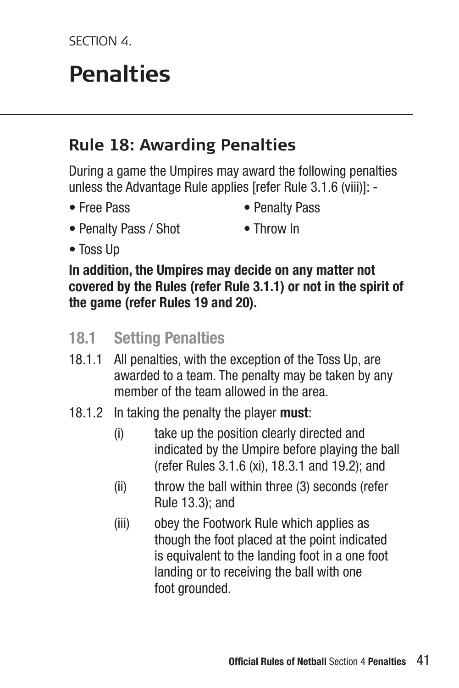SECTION 4

## $P$ enalties

### **Rule 18: Awarding Penalties**

During a game the Umpires may award the following penalties unless the Advantage Rule applies [refer Rule 3.1.6 (viii)]: -

- 
- Free Pass Penalty Pass
- Penalty Pass / Shot Throw In
	-

• Toss Up

**In addition, the Umpires may decide on any matter not covered by the Rules (refer Rule 3.1.1) or not in the spirit of the game (refer Rules 19 and 20).**

- **18.1 Setting Penalties**
- 18.1.1 All penalties, with the exception of the Toss Up, are awarded to a team. The penalty may be taken by any member of the team allowed in the area.
- 18.1.2 In taking the penalty the player **must**:
	- (i) take up the position clearly directed and indicated by the Umpire before playing the ball (refer Rules 3.1.6 (xi), 18.3.1 and 19.2); and
	- (ii) throw the ball within three (3) seconds (refer Rule 13.3); and
	- (iii) obey the Footwork Rule which applies as though the foot placed at the point indicated is equivalent to the landing foot in a one foot landing or to receiving the ball with one foot grounded.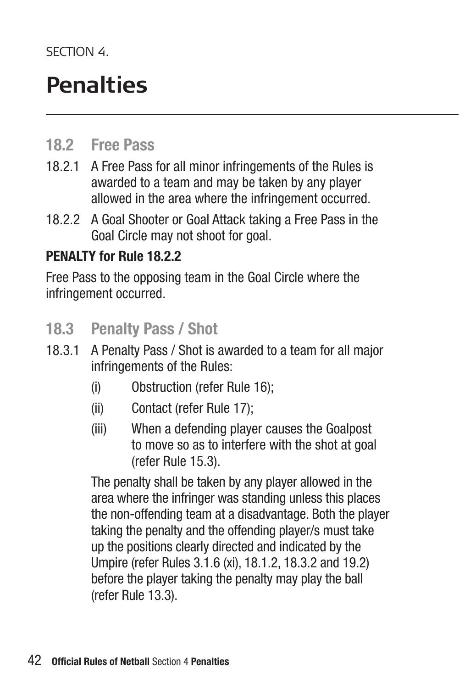SECTION 4

### **Penalties**

### **18.2 Free Pass**

- 18.2.1 A Free Pass for all minor infringements of the Rules is awarded to a team and may be taken by any player allowed in the area where the infringement occurred.
- 18.2.2 A Goal Shooter or Goal Attack taking a Free Pass in the Goal Circle may not shoot for goal.

#### **PENALTY for Rule 18.2.2**

Free Pass to the opposing team in the Goal Circle where the infringement occurred.

- **18.3 Penalty Pass / Shot**
- 18.3.1 A Penalty Pass / Shot is awarded to a team for all major infringements of the Rules:
	- (i) Obstruction (refer Rule 16);
	- (ii) Contact (refer Rule 17);
	- (iii) When a defending player causes the Goalpost to move so as to interfere with the shot at goal (refer Rule 15.3).

 The penalty shall be taken by any player allowed in the area where the infringer was standing unless this places the non-offending team at a disadvantage. Both the player taking the penalty and the offending player/s must take up the positions clearly directed and indicated by the Umpire (refer Rules 3.1.6 (xi), 18.1.2, 18.3.2 and 19.2) before the player taking the penalty may play the ball (refer Rule 13.3).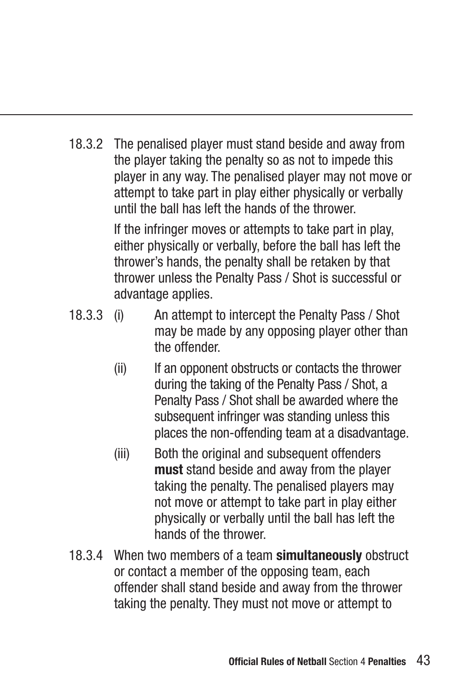18.3.2 The penalised player must stand beside and away from the player taking the penalty so as not to impede this player in any way. The penalised player may not move or attempt to take part in play either physically or verbally until the ball has left the hands of the thrower.

> If the infringer moves or attempts to take part in play, either physically or verbally, before the ball has left the thrower's hands, the penalty shall be retaken by that thrower unless the Penalty Pass / Shot is successful or advantage applies.

- 18.3.3 (i) An attempt to intercept the Penalty Pass / Shot may be made by any opposing player other than the offender.
	- (ii) If an opponent obstructs or contacts the thrower during the taking of the Penalty Pass / Shot, a Penalty Pass / Shot shall be awarded where the subsequent infringer was standing unless this places the non-offending team at a disadvantage.
	- (iii) Both the original and subsequent offenders **must** stand beside and away from the player taking the penalty. The penalised players may not move or attempt to take part in play either physically or verbally until the ball has left the hands of the thrower.
- 18.3.4 When two members of a team **simultaneously** obstruct or contact a member of the opposing team, each offender shall stand beside and away from the thrower taking the penalty. They must not move or attempt to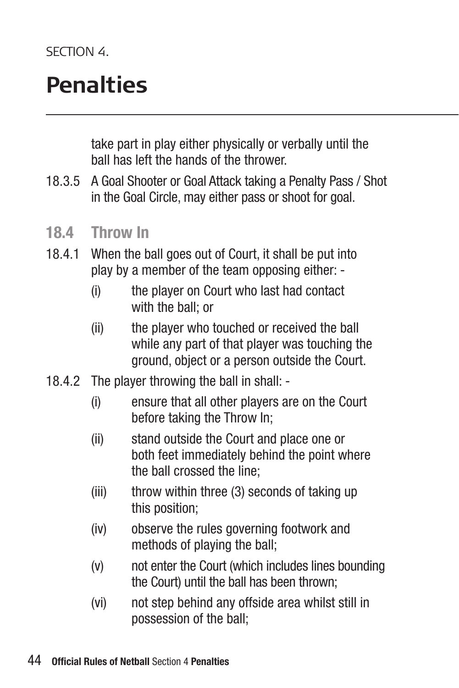### **Penalties**

take part in play either physically or verbally until the ball has left the hands of the thrower.

- 18.3.5 A Goal Shooter or Goal Attack taking a Penalty Pass / Shot in the Goal Circle, may either pass or shoot for goal.
- **18.4 Throw In**
- 18.4.1 When the ball goes out of Court, it shall be put into play by a member of the team opposing either: -
	- (i) the player on Court who last had contact with the ball; or
	- (ii) the player who touched or received the ball while any part of that player was touching the ground, object or a person outside the Court.
- 18.4.2 The player throwing the ball in shall:
	- (i) ensure that all other players are on the Court before taking the Throw In;
	- (ii) stand outside the Court and place one or both feet immediately behind the point where the ball crossed the line;
	- (iii) throw within three (3) seconds of taking up this position;
	- (iv) observe the rules governing footwork and methods of playing the ball;
	- (v) not enter the Court (which includes lines bounding the Court) until the ball has been thrown;
	- (vi) not step behind any offside area whilst still in possession of the ball;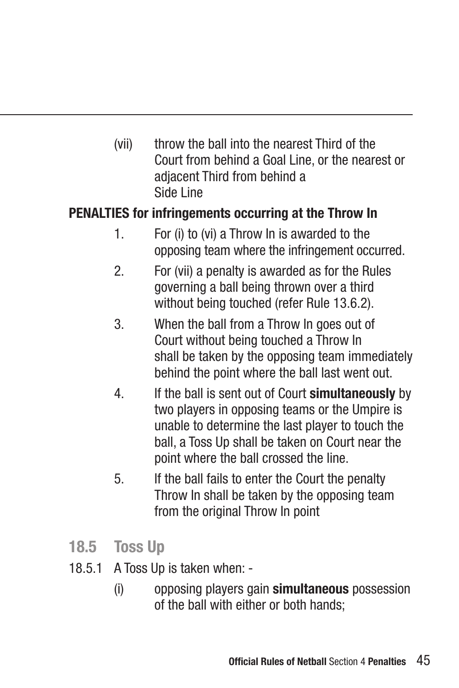(vii) throw the ball into the nearest Third of the Court from behind a Goal Line, or the nearest or adjacent Third from behind a Side Line

#### **PENALTIES for infringements occurring at the Throw In**

- 1. For (i) to (vi) a Throw In is awarded to the opposing team where the infringement occurred.
- 2. For (vii) a penalty is awarded as for the Rules governing a ball being thrown over a third without being touched (refer Rule 13.6.2).
- 3. When the ball from a Throw In goes out of Court without being touched a Throw In shall be taken by the opposing team immediately behind the point where the ball last went out.
- 4. If the ball is sent out of Court **simultaneously** by two players in opposing teams or the Umpire is unable to determine the last player to touch the ball, a Toss Up shall be taken on Court near the point where the ball crossed the line.
- 5. If the ball fails to enter the Court the penalty Throw In shall be taken by the opposing team from the original Throw In point
- **18.5 Toss Up**
- 18.5.1 A Toss Up is taken when:
	- (i) opposing players gain **simultaneous** possession of the ball with either or both hands;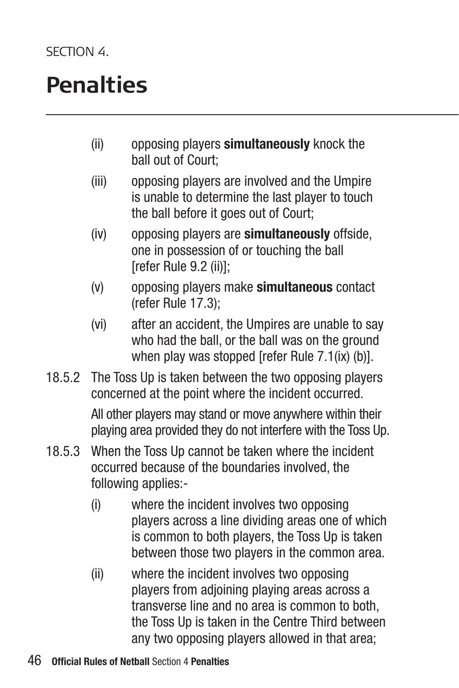### **Penalties**

- (ii) opposing players **simultaneously** knock the ball out of Court;
- (iii) opposing players are involved and the Umpire is unable to determine the last player to touch the ball before it goes out of Court;
- (iv) opposing players are **simultaneously** offside, one in possession of or touching the ball [refer Rule 9.2 (ii)];
- (v) opposing players make **simultaneous** contact (refer Rule 17.3);
- (vi) after an accident, the Umpires are unable to say who had the ball, or the ball was on the ground when play was stopped [refer Rule 7.1(ix) (b)].
- 18.5.2 The Toss Up is taken between the two opposing players concerned at the point where the incident occurred.

 All other players may stand or move anywhere within their playing area provided they do not interfere with the Toss Up.

- 18.5.3 When the Toss Up cannot be taken where the incident occurred because of the boundaries involved, the following applies:-
	- (i) where the incident involves two opposing players across a line dividing areas one of which is common to both players, the Toss Up is taken between those two players in the common area.
	- (ii) where the incident involves two opposing players from adjoining playing areas across a transverse line and no area is common to both, the Toss Up is taken in the Centre Third between any two opposing players allowed in that area;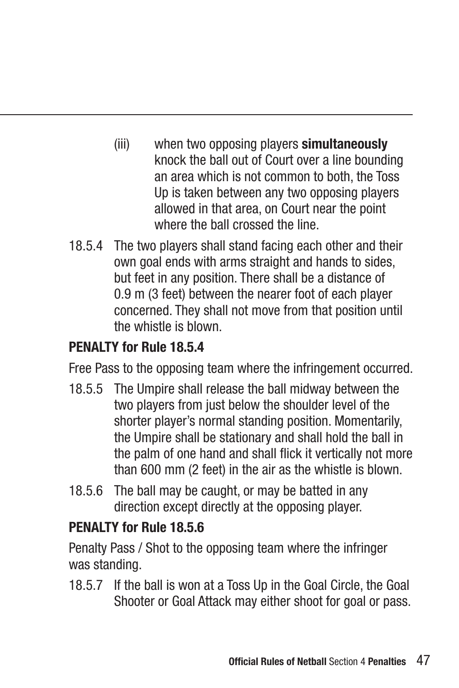- (iii) when two opposing players **simultaneously** knock the ball out of Court over a line bounding an area which is not common to both, the Toss Up is taken between any two opposing players allowed in that area, on Court near the point where the ball crossed the line.
- 18.5.4 The two players shall stand facing each other and their own goal ends with arms straight and hands to sides, but feet in any position. There shall be a distance of 0.9 m (3 feet) between the nearer foot of each player concerned. They shall not move from that position until the whistle is blown.

### **PENALTY for Rule 18.5.4**

Free Pass to the opposing team where the infringement occurred.

- 18.5.5 The Umpire shall release the ball midway between the two players from just below the shoulder level of the shorter player's normal standing position. Momentarily, the Umpire shall be stationary and shall hold the ball in the palm of one hand and shall flick it vertically not more than 600 mm (2 feet) in the air as the whistle is blown.
- 18.5.6 The ball may be caught, or may be batted in any direction except directly at the opposing player.

#### **PENALTY for Rule 18.5.6**

Penalty Pass / Shot to the opposing team where the infringer was standing.

18.5.7 If the ball is won at a Toss Up in the Goal Circle, the Goal Shooter or Goal Attack may either shoot for goal or pass.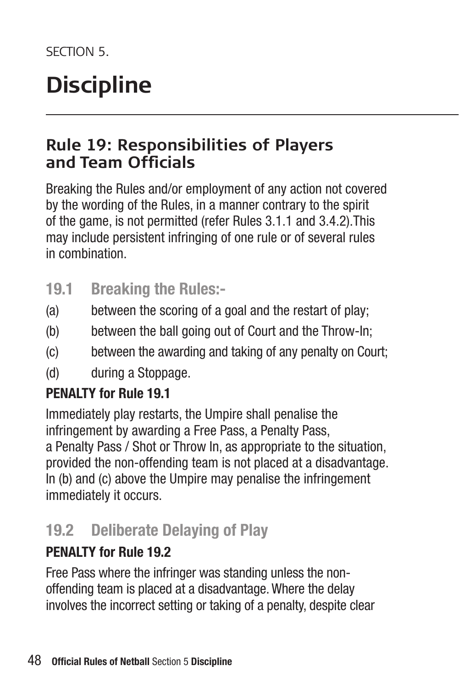### **Discipline**

### **Rule 19: Responsibilities of Players and Team Officials**

Breaking the Rules and/or employment of any action not covered by the wording of the Rules, in a manner contrary to the spirit of the game, is not permitted (refer Rules 3.1.1 and 3.4.2).This may include persistent infringing of one rule or of several rules in combination.

- **19.1 Breaking the Rules:-**
- (a) between the scoring of a goal and the restart of play;
- (b) between the ball going out of Court and the Throw-In;
- (c) between the awarding and taking of any penalty on Court;
- (d) during a Stoppage.

#### **PENALTY for Rule 19.1**

Immediately play restarts, the Umpire shall penalise the infringement by awarding a Free Pass, a Penalty Pass, a Penalty Pass / Shot or Throw In, as appropriate to the situation, provided the non-offending team is not placed at a disadvantage. In (b) and (c) above the Umpire may penalise the infringement immediately it occurs.

### **19.2 Deliberate Delaying of Play**

### **PENALTY for Rule 19.2**

Free Pass where the infringer was standing unless the nonoffending team is placed at a disadvantage. Where the delay involves the incorrect setting or taking of a penalty, despite clear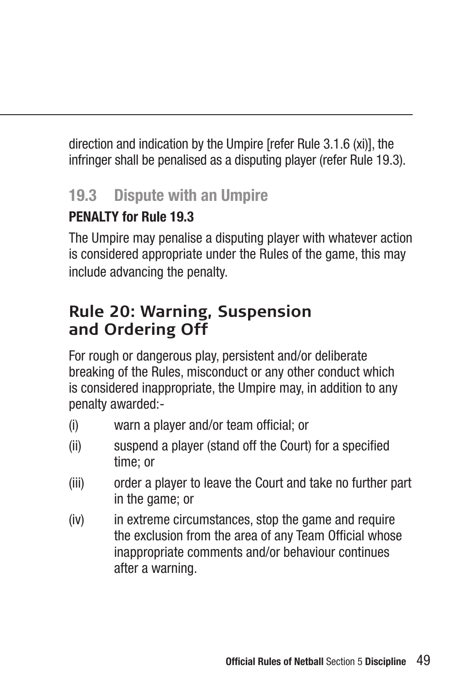direction and indication by the Umpire [refer Rule 3.1.6 (xi)], the infringer shall be penalised as a disputing player (refer Rule 19.3).

### **19.3 Dispute with an Umpire**

### **PENALTY for Rule 19.3**

The Umpire may penalise a disputing player with whatever action is considered appropriate under the Rules of the game, this may include advancing the penalty.

### **Rule 20: Warning, Suspension and Ordering Off**

For rough or dangerous play, persistent and/or deliberate breaking of the Rules, misconduct or any other conduct which is considered inappropriate, the Umpire may, in addition to any penalty awarded:-

- (i) warn a player and/or team official; or
- (ii) suspend a player (stand off the Court) for a specified time; or
- (iii) order a player to leave the Court and take no further part in the game; or
- (iv) in extreme circumstances, stop the game and require the exclusion from the area of any Team Official whose inappropriate comments and/or behaviour continues after a warning.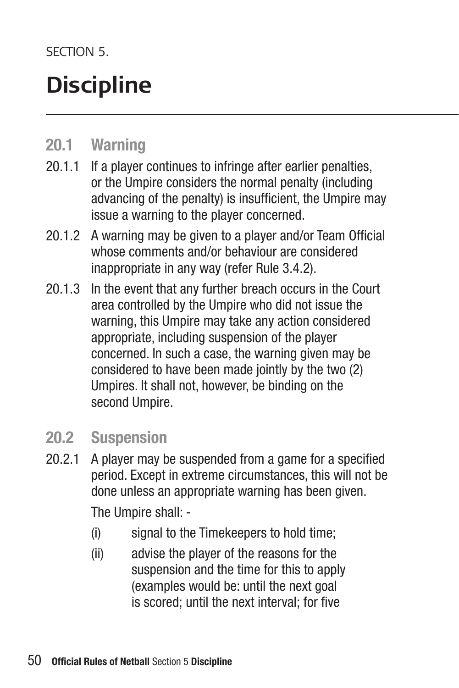SECTION<sub>5</sub>

### **Discipline**

### **20.1 Warning**

- 20.1.1 If a player continues to infringe after earlier penalties, or the Umpire considers the normal penalty (including advancing of the penalty) is insufficient, the Umpire may issue a warning to the player concerned.
- 20.1.2 A warning may be given to a player and/or Team Official whose comments and/or behaviour are considered inappropriate in any way (refer Rule 3.4.2).
- 20.1.3 In the event that any further breach occurs in the Court area controlled by the Umpire who did not issue the warning, this Umpire may take any action considered appropriate, including suspension of the player concerned. In such a case, the warning given may be considered to have been made jointly by the two (2) Umpires. It shall not, however, be binding on the second Umpire.

### **20.2 Suspension**

- 20.2.1 A player may be suspended from a game for a specified period. Except in extreme circumstances, this will not be done unless an appropriate warning has been given. The Umpire shall: -
	- (i) signal to the Timekeepers to hold time;
	- (ii) advise the player of the reasons for the suspension and the time for this to apply (examples would be: until the next goal is scored; until the next interval; for five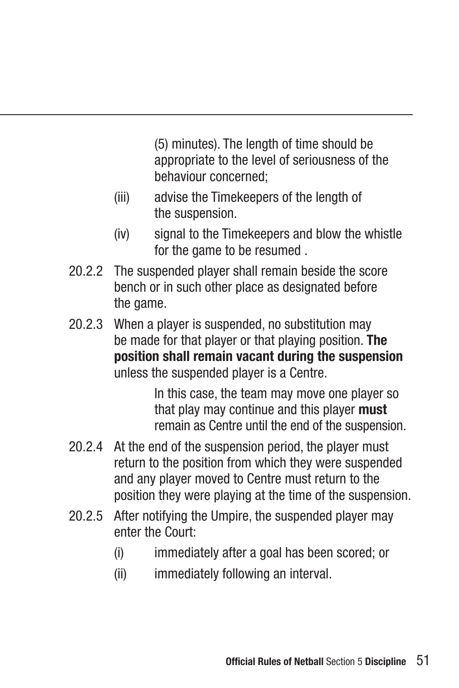(5) minutes). The length of time should be appropriate to the level of seriousness of the behaviour concerned;

- (iii) advise the Timekeepers of the length of the suspension.
- (iv) signal to the Timekeepers and blow the whistle for the game to be resumed .
- 20.2.2 The suspended player shall remain beside the score bench or in such other place as designated before the game.
- 20.2.3 When a player is suspended, no substitution may be made for that player or that playing position. **The position shall remain vacant during the suspension** unless the suspended player is a Centre.

 In this case, the team may move one player so that play may continue and this player **must** remain as Centre until the end of the suspension.

- 20.2.4 At the end of the suspension period, the player must return to the position from which they were suspended and any player moved to Centre must return to the position they were playing at the time of the suspension.
- 20.2.5 After notifying the Umpire, the suspended player may enter the Court:
	- (i) immediately after a goal has been scored; or
	- (ii) immediately following an interval.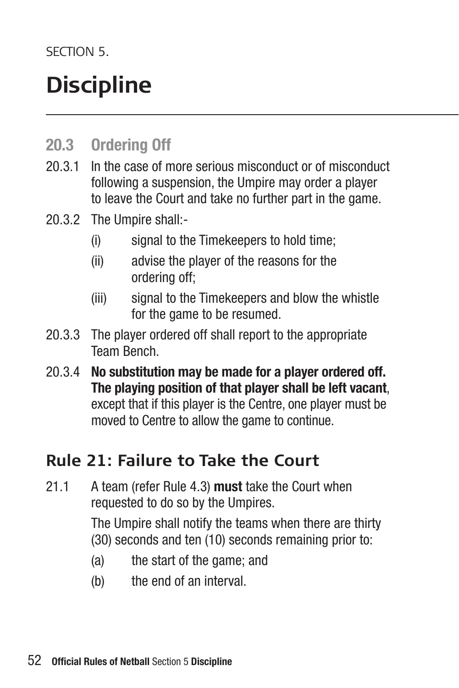SECTION<sub>5</sub>

### **Discipline**

### **20.3 Ordering Off**

- 20.3.1 In the case of more serious misconduct or of misconduct following a suspension, the Umpire may order a player to leave the Court and take no further part in the game.
- 20.3.2 The Umpire shall:-
	- (i) signal to the Timekeepers to hold time;
	- (ii) advise the player of the reasons for the ordering off;
	- (iii) signal to the Timekeepers and blow the whistle for the game to be resumed.
- 20.3.3 The player ordered off shall report to the appropriate Team Bench.
- 20.3.4 **No substitution may be made for a player ordered off. The playing position of that player shall be left vacant**, except that if this player is the Centre, one player must be moved to Centre to allow the game to continue.

### **Rule 21: Failure to Take the Court**

21.1 A team (refer Rule 4.3) **must** take the Court when requested to do so by the Umpires.

> The Umpire shall notify the teams when there are thirty (30) seconds and ten (10) seconds remaining prior to:

- (a) the start of the game; and
- (b) the end of an interval.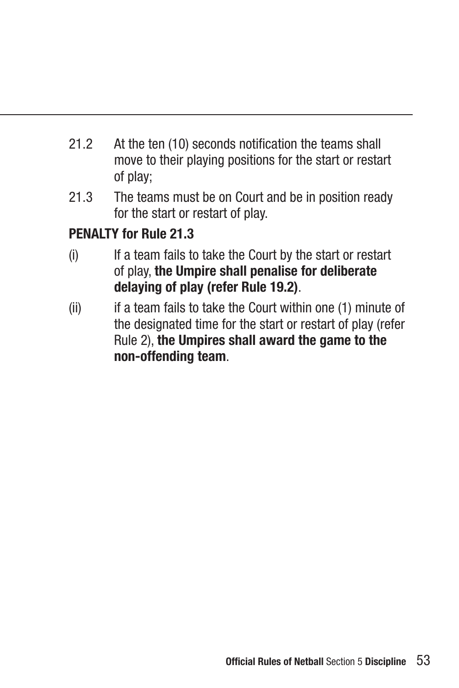- 21.2 At the ten (10) seconds notification the teams shall move to their playing positions for the start or restart of play;
- 21.3 The teams must be on Court and be in position ready for the start or restart of play.

### **PENALTY for Rule 21.3**

- (i) If a team fails to take the Court by the start or restart of play, **the Umpire shall penalise for deliberate delaying of play (refer Rule 19.2)**.
- (ii) if a team fails to take the Court within one (1) minute of the designated time for the start or restart of play (refer Rule 2), **the Umpires shall award the game to the non-offending team**.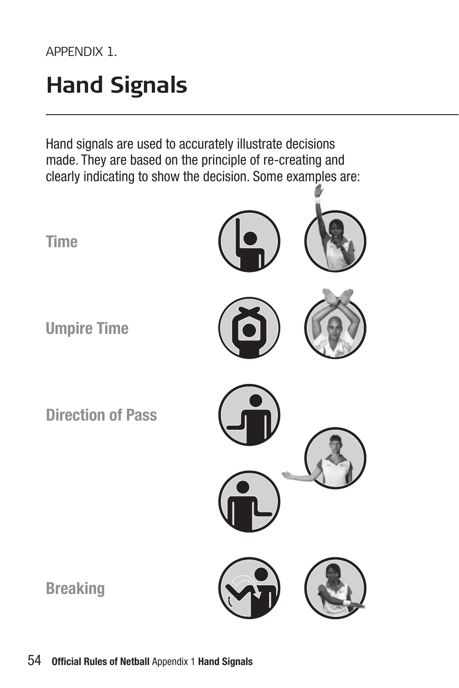APPENDIX 1.

### **Hand Signals**

Hand signals are used to accurately illustrate decisions made. They are based on the principle of re-creating and clearly indicating to show the decision. Some examples are:

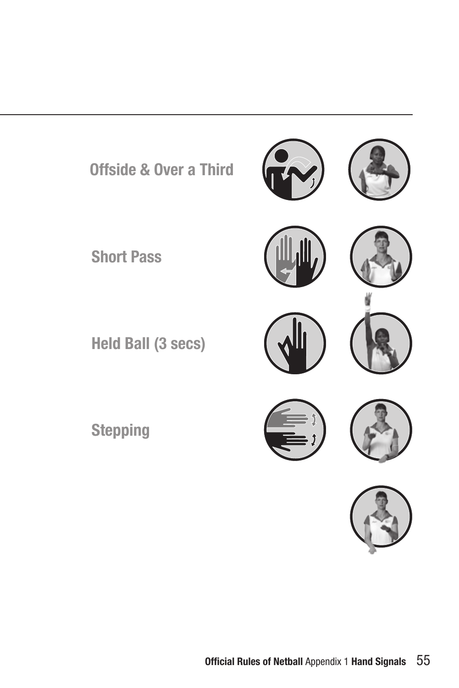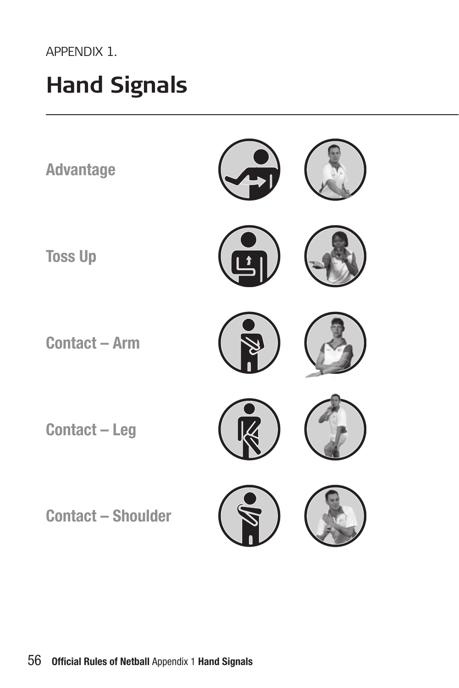#### APPENDIX 1.

### **Hand Signals**

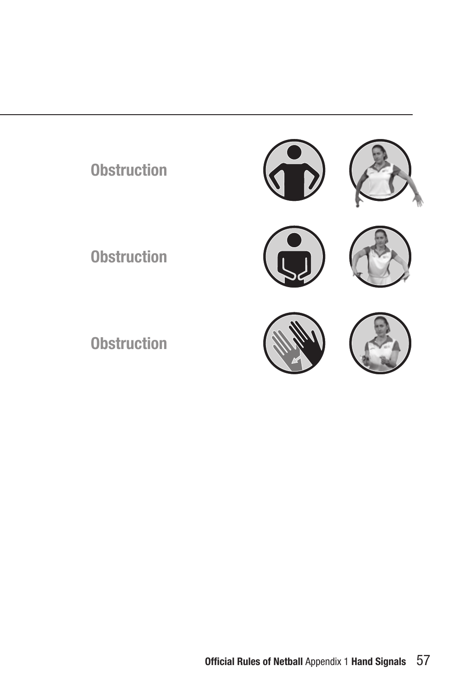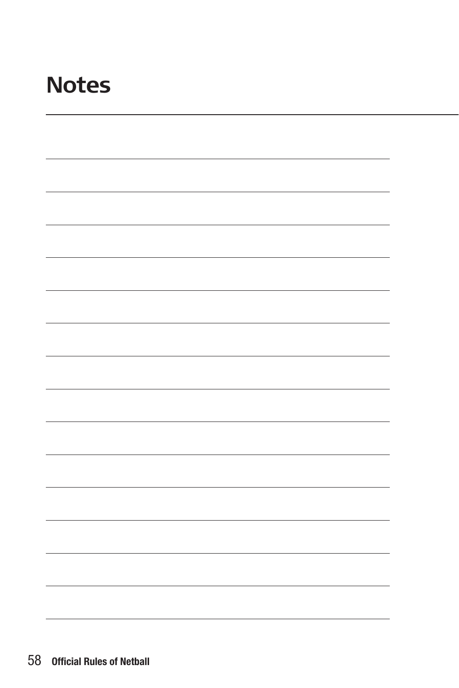### **Notes**